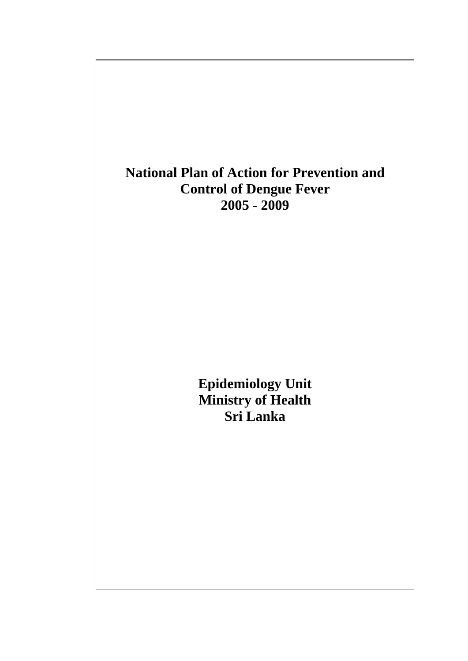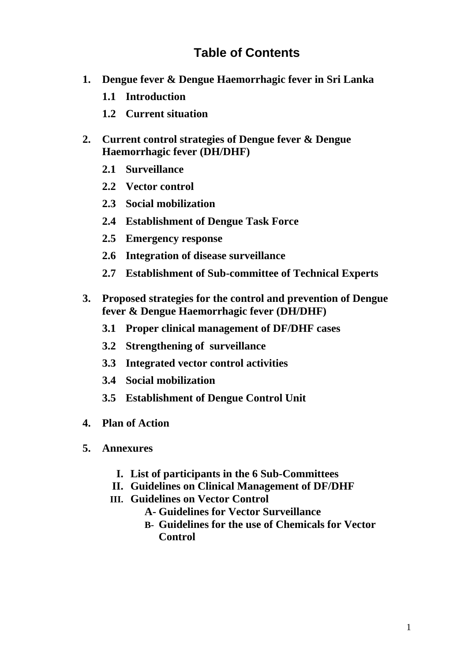# **Table of Contents**

- **1. Dengue fever & Dengue Haemorrhagic fever in Sri Lanka** 
	- **1.1 Introduction**
	- **1.2 Current situation**
- **2. Current control strategies of Dengue fever & Dengue Haemorrhagic fever (DH/DHF)** 
	- **2.1 Surveillance**
	- **2.2 Vector control**
	- **2.3 Social mobilization**
	- **2.4 Establishment of Dengue Task Force**
	- **2.5 Emergency response**
	- **2.6 Integration of disease surveillance**
	- **2.7 Establishment of Sub-committee of Technical Experts**
- **3. Proposed strategies for the control and prevention of Dengue fever & Dengue Haemorrhagic fever (DH/DHF)** 
	- **3.1 Proper clinical management of DF/DHF cases**
	- **3.2 Strengthening of surveillance**
	- **3.3 Integrated vector control activities**
	- **3.4 Social mobilization**
	- **3.5 Establishment of Dengue Control Unit**
- **4. Plan of Action**
- **5. Annexures** 
	- **I. List of participants in the 6 Sub-Committees**
	- **II. Guidelines on Clinical Management of DF/DHF**
	- **III. Guidelines on Vector Control**
		- **A- Guidelines for Vector Surveillance**
		- **B- Guidelines for the use of Chemicals for Vector Control**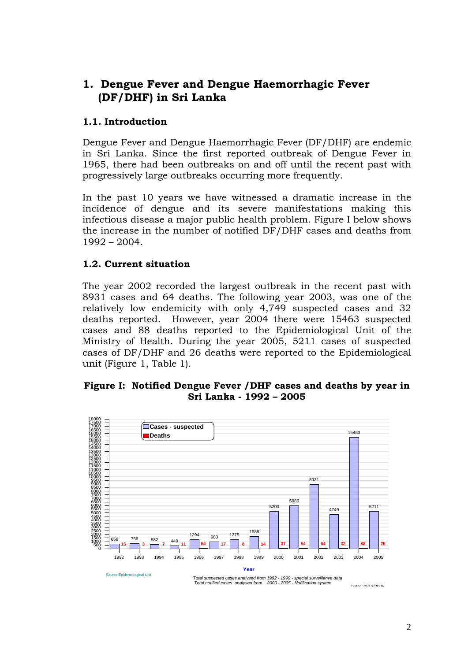# **1. Dengue Fever and Dengue Haemorrhagic Fever (DF/DHF) in Sri Lanka**

### **1.1. Introduction**

Dengue Fever and Dengue Haemorrhagic Fever (DF/DHF) are endemic in Sri Lanka. Since the first reported outbreak of Dengue Fever in 1965, there had been outbreaks on and off until the recent past with progressively large outbreaks occurring more frequently.

In the past 10 years we have witnessed a dramatic increase in the incidence of dengue and its severe manifestations making this infectious disease a major public health problem. Figure I below shows the increase in the number of notified DF/DHF cases and deaths from 1992 – 2004.

#### **1.2. Current situation**

The year 2002 recorded the largest outbreak in the recent past with 8931 cases and 64 deaths. The following year 2003, was one of the relatively low endemicity with only 4,749 suspected cases and 32 deaths reported. However, year 2004 there were 15463 suspected cases and 88 deaths reported to the Epidemiological Unit of the Ministry of Health. During the year 2005, 5211 cases of suspected cases of DF/DHF and 26 deaths were reported to the Epidemiological unit (Figure 1, Table 1).

#### **Figure I: Notified Dengue Fever /DHF cases and deaths by year in Sri Lanka - 1992 – 2005**

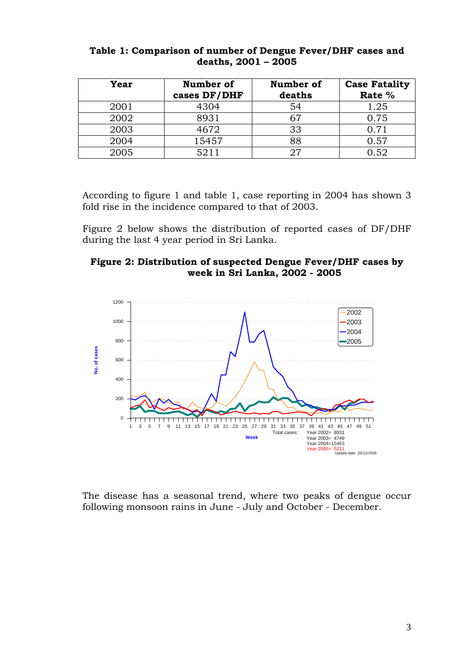| Year | Number of<br>cases DF/DHF | Number of<br>deaths | <b>Case Fatality</b><br>Rate % |
|------|---------------------------|---------------------|--------------------------------|
| 2001 | 4304                      | 54                  | 1.25                           |
| 2002 | 8931                      | 67                  | 0.75                           |
| 2003 | 4672                      | 33                  | 0.71                           |
| 2004 | 15457                     | 88                  | 0.57                           |
| 2005 | 5211                      | 97                  | 0.52                           |

#### **Table 1: Comparison of number of Dengue Fever/DHF cases and deaths, 2001 – 2005**

According to figure 1 and table 1, case reporting in 2004 has shown 3 fold rise in the incidence compared to that of 2003.

Figure 2 below shows the distribution of reported cases of DF/DHF during the last 4 year period in Sri Lanka.





The disease has a seasonal trend, where two peaks of dengue occur following monsoon rains in June - July and October - December.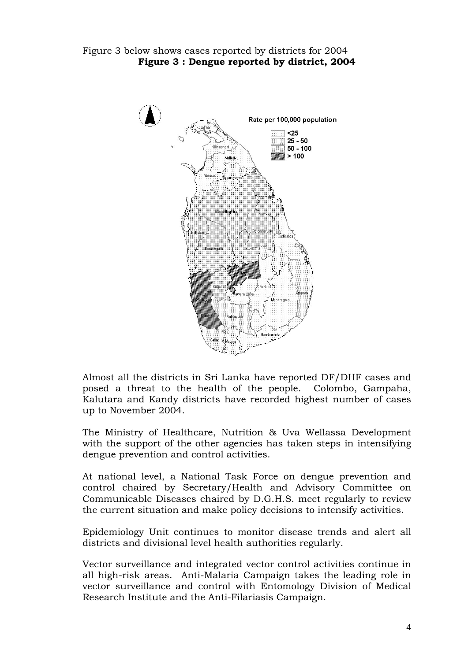

Almost all the districts in Sri Lanka have reported DF/DHF cases and posed a threat to the health of the people. Colombo, Gampaha, Kalutara and Kandy districts have recorded highest number of cases up to November 2004.

The Ministry of Healthcare, Nutrition & Uva Wellassa Development with the support of the other agencies has taken steps in intensifying dengue prevention and control activities.

At national level, a National Task Force on dengue prevention and control chaired by Secretary/Health and Advisory Committee on Communicable Diseases chaired by D.G.H.S. meet regularly to review the current situation and make policy decisions to intensify activities.

Epidemiology Unit continues to monitor disease trends and alert all districts and divisional level health authorities regularly.

Vector surveillance and integrated vector control activities continue in all high-risk areas. Anti-Malaria Campaign takes the leading role in vector surveillance and control with Entomology Division of Medical Research Institute and the Anti-Filariasis Campaign.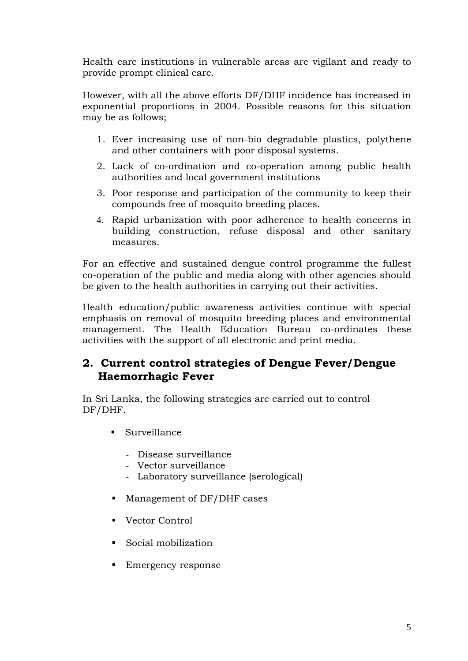Health care institutions in vulnerable areas are vigilant and ready to provide prompt clinical care.

However, with all the above efforts DF/DHF incidence has increased in exponential proportions in 2004. Possible reasons for this situation may be as follows;

- 1. Ever increasing use of non-bio degradable plastics, polythene and other containers with poor disposal systems.
- 2. Lack of co-ordination and co-operation among public health authorities and local government institutions
- 3. Poor response and participation of the community to keep their compounds free of mosquito breeding places.
- 4. Rapid urbanization with poor adherence to health concerns in building construction, refuse disposal and other sanitary measures.

For an effective and sustained dengue control programme the fullest co-operation of the public and media along with other agencies should be given to the health authorities in carrying out their activities.

Health education/public awareness activities continue with special emphasis on removal of mosquito breeding places and environmental management. The Health Education Bureau co-ordinates these activities with the support of all electronic and print media.

# **2. Current control strategies of Dengue Fever/Dengue Haemorrhagic Fever**

In Sri Lanka, the following strategies are carried out to control DF/DHF.

- Surveillance
	- Disease surveillance
	- Vector surveillance
	- Laboratory surveillance (serological)
- Management of DF/DHF cases
- Vector Control
- Social mobilization
- **Emergency response**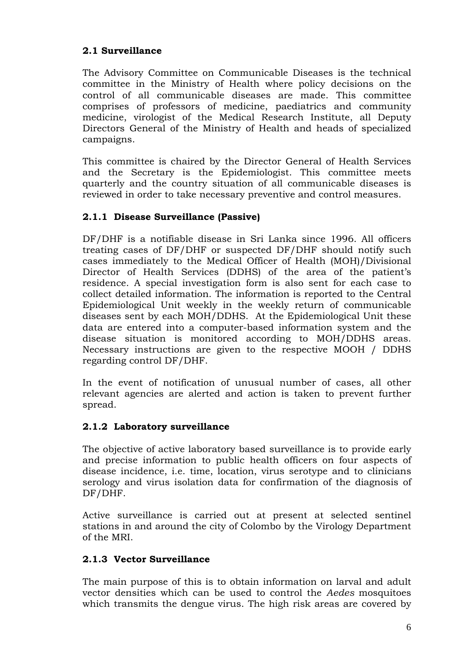## **2.1 Surveillance**

The Advisory Committee on Communicable Diseases is the technical committee in the Ministry of Health where policy decisions on the control of all communicable diseases are made. This committee comprises of professors of medicine, paediatrics and community medicine, virologist of the Medical Research Institute, all Deputy Directors General of the Ministry of Health and heads of specialized campaigns.

This committee is chaired by the Director General of Health Services and the Secretary is the Epidemiologist. This committee meets quarterly and the country situation of all communicable diseases is reviewed in order to take necessary preventive and control measures.

## **2.1.1 Disease Surveillance (Passive)**

DF/DHF is a notifiable disease in Sri Lanka since 1996. All officers treating cases of DF/DHF or suspected DF/DHF should notify such cases immediately to the Medical Officer of Health (MOH)/Divisional Director of Health Services (DDHS) of the area of the patient's residence. A special investigation form is also sent for each case to collect detailed information. The information is reported to the Central Epidemiological Unit weekly in the weekly return of communicable diseases sent by each MOH/DDHS. At the Epidemiological Unit these data are entered into a computer-based information system and the disease situation is monitored according to MOH/DDHS areas. Necessary instructions are given to the respective MOOH / DDHS regarding control DF/DHF.

In the event of notification of unusual number of cases, all other relevant agencies are alerted and action is taken to prevent further spread.

### **2.1.2 Laboratory surveillance**

The objective of active laboratory based surveillance is to provide early and precise information to public health officers on four aspects of disease incidence, i.e. time, location, virus serotype and to clinicians serology and virus isolation data for confirmation of the diagnosis of DF/DHF.

Active surveillance is carried out at present at selected sentinel stations in and around the city of Colombo by the Virology Department of the MRI.

# **2.1.3 Vector Surveillance**

The main purpose of this is to obtain information on larval and adult vector densities which can be used to control the *Aedes* mosquitoes which transmits the dengue virus. The high risk areas are covered by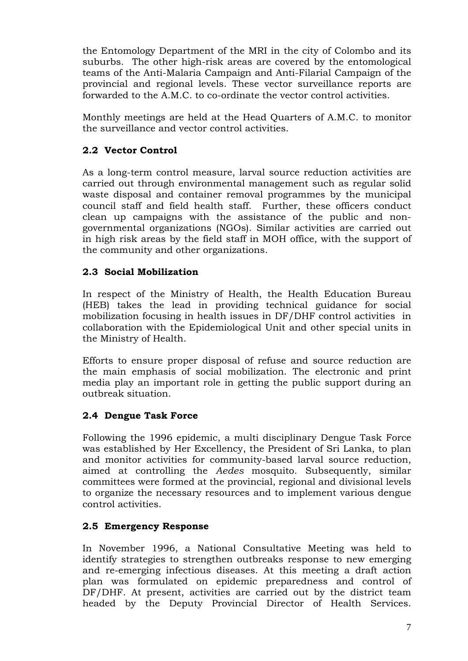the Entomology Department of the MRI in the city of Colombo and its suburbs. The other high-risk areas are covered by the entomological teams of the Anti-Malaria Campaign and Anti-Filarial Campaign of the provincial and regional levels. These vector surveillance reports are forwarded to the A.M.C. to co-ordinate the vector control activities.

Monthly meetings are held at the Head Quarters of A.M.C. to monitor the surveillance and vector control activities.

# **2.2 Vector Control**

As a long-term control measure, larval source reduction activities are carried out through environmental management such as regular solid waste disposal and container removal programmes by the municipal council staff and field health staff. Further, these officers conduct clean up campaigns with the assistance of the public and nongovernmental organizations (NGOs). Similar activities are carried out in high risk areas by the field staff in MOH office, with the support of the community and other organizations.

### **2.3 Social Mobilization**

In respect of the Ministry of Health, the Health Education Bureau (HEB) takes the lead in providing technical guidance for social mobilization focusing in health issues in DF/DHF control activities in collaboration with the Epidemiological Unit and other special units in the Ministry of Health.

Efforts to ensure proper disposal of refuse and source reduction are the main emphasis of social mobilization. The electronic and print media play an important role in getting the public support during an outbreak situation.

### **2.4 Dengue Task Force**

Following the 1996 epidemic, a multi disciplinary Dengue Task Force was established by Her Excellency, the President of Sri Lanka, to plan and monitor activities for community-based larval source reduction, aimed at controlling the *Aedes* mosquito. Subsequently, similar committees were formed at the provincial, regional and divisional levels to organize the necessary resources and to implement various dengue control activities.

### **2.5 Emergency Response**

In November 1996, a National Consultative Meeting was held to identify strategies to strengthen outbreaks response to new emerging and re-emerging infectious diseases. At this meeting a draft action plan was formulated on epidemic preparedness and control of DF/DHF. At present, activities are carried out by the district team headed by the Deputy Provincial Director of Health Services.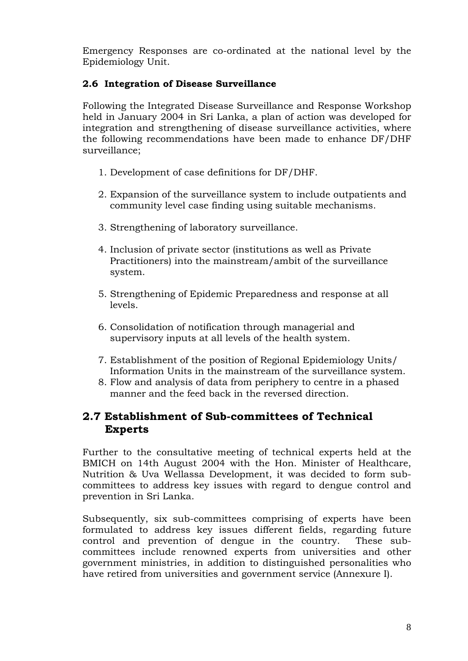Emergency Responses are co-ordinated at the national level by the Epidemiology Unit.

### **2.6 Integration of Disease Surveillance**

Following the Integrated Disease Surveillance and Response Workshop held in January 2004 in Sri Lanka, a plan of action was developed for integration and strengthening of disease surveillance activities, where the following recommendations have been made to enhance DF/DHF surveillance;

- 1. Development of case definitions for DF/DHF.
- 2. Expansion of the surveillance system to include outpatients and community level case finding using suitable mechanisms.
- 3. Strengthening of laboratory surveillance.
- 4. Inclusion of private sector (institutions as well as Private Practitioners) into the mainstream/ambit of the surveillance system.
- 5. Strengthening of Epidemic Preparedness and response at all levels.
- 6. Consolidation of notification through managerial and supervisory inputs at all levels of the health system.
- 7. Establishment of the position of Regional Epidemiology Units/ Information Units in the mainstream of the surveillance system.
- 8. Flow and analysis of data from periphery to centre in a phased manner and the feed back in the reversed direction.

# **2.7 Establishment of Sub-committees of Technical Experts**

Further to the consultative meeting of technical experts held at the BMICH on 14th August 2004 with the Hon. Minister of Healthcare, Nutrition & Uva Wellassa Development, it was decided to form subcommittees to address key issues with regard to dengue control and prevention in Sri Lanka.

Subsequently, six sub-committees comprising of experts have been formulated to address key issues different fields, regarding future control and prevention of dengue in the country. These subcommittees include renowned experts from universities and other government ministries, in addition to distinguished personalities who have retired from universities and government service (Annexure I).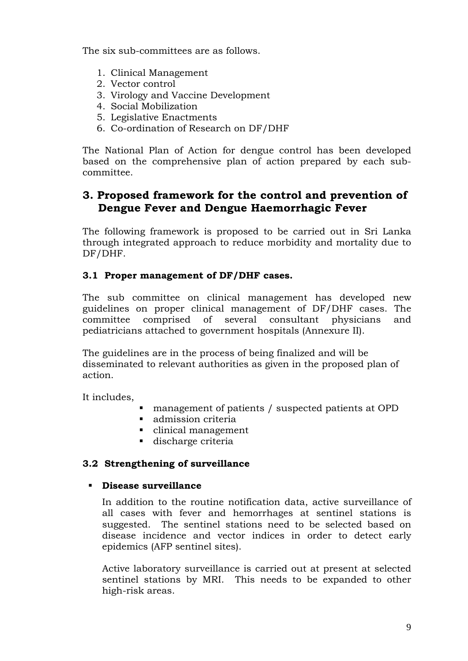The six sub-committees are as follows.

- 1. Clinical Management
- 2. Vector control
- 3. Virology and Vaccine Development
- 4. Social Mobilization
- 5. Legislative Enactments
- 6. Co-ordination of Research on DF/DHF

The National Plan of Action for dengue control has been developed based on the comprehensive plan of action prepared by each subcommittee.

# **3. Proposed framework for the control and prevention of Dengue Fever and Dengue Haemorrhagic Fever**

The following framework is proposed to be carried out in Sri Lanka through integrated approach to reduce morbidity and mortality due to DF/DHF.

#### **3.1 Proper management of DF/DHF cases.**

The sub committee on clinical management has developed new guidelines on proper clinical management of DF/DHF cases. The committee comprised of several consultant physicians and pediatricians attached to government hospitals (Annexure II).

The guidelines are in the process of being finalized and will be disseminated to relevant authorities as given in the proposed plan of action.

It includes,

- management of patients / suspected patients at OPD
- **admission criteria**
- clinical management
- discharge criteria

### **3.2 Strengthening of surveillance**

#### **Disease surveillance**

In addition to the routine notification data, active surveillance of all cases with fever and hemorrhages at sentinel stations is suggested. The sentinel stations need to be selected based on disease incidence and vector indices in order to detect early epidemics (AFP sentinel sites).

Active laboratory surveillance is carried out at present at selected sentinel stations by MRI. This needs to be expanded to other high-risk areas.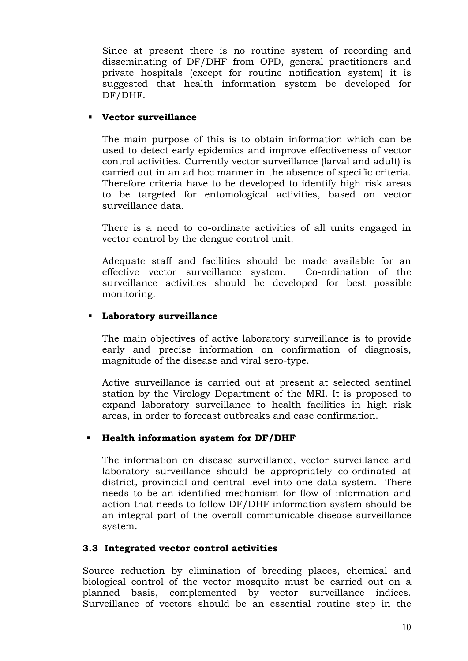Since at present there is no routine system of recording and disseminating of DF/DHF from OPD, general practitioners and private hospitals (except for routine notification system) it is suggested that health information system be developed for DF/DHF.

#### **Vector surveillance**

The main purpose of this is to obtain information which can be used to detect early epidemics and improve effectiveness of vector control activities. Currently vector surveillance (larval and adult) is carried out in an ad hoc manner in the absence of specific criteria. Therefore criteria have to be developed to identify high risk areas to be targeted for entomological activities, based on vector surveillance data.

There is a need to co-ordinate activities of all units engaged in vector control by the dengue control unit.

Adequate staff and facilities should be made available for an effective vector surveillance system. Co-ordination of the surveillance activities should be developed for best possible monitoring.

#### **Laboratory surveillance**

The main objectives of active laboratory surveillance is to provide early and precise information on confirmation of diagnosis, magnitude of the disease and viral sero-type.

Active surveillance is carried out at present at selected sentinel station by the Virology Department of the MRI. It is proposed to expand laboratory surveillance to health facilities in high risk areas, in order to forecast outbreaks and case confirmation.

### **Health information system for DF/DHF**

The information on disease surveillance, vector surveillance and laboratory surveillance should be appropriately co-ordinated at district, provincial and central level into one data system. There needs to be an identified mechanism for flow of information and action that needs to follow DF/DHF information system should be an integral part of the overall communicable disease surveillance system.

### **3.3 Integrated vector control activities**

Source reduction by elimination of breeding places, chemical and biological control of the vector mosquito must be carried out on a planned basis, complemented by vector surveillance indices. Surveillance of vectors should be an essential routine step in the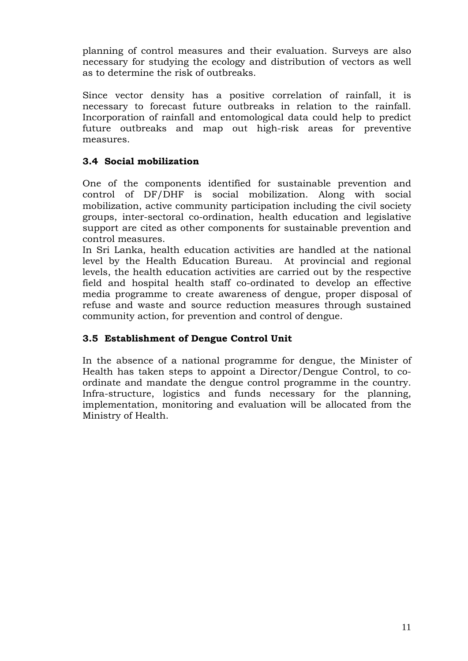planning of control measures and their evaluation. Surveys are also necessary for studying the ecology and distribution of vectors as well as to determine the risk of outbreaks.

Since vector density has a positive correlation of rainfall, it is necessary to forecast future outbreaks in relation to the rainfall. Incorporation of rainfall and entomological data could help to predict future outbreaks and map out high-risk areas for preventive measures.

## **3.4 Social mobilization**

One of the components identified for sustainable prevention and control of DF/DHF is social mobilization. Along with social mobilization, active community participation including the civil society groups, inter-sectoral co-ordination, health education and legislative support are cited as other components for sustainable prevention and control measures.

In Sri Lanka, health education activities are handled at the national level by the Health Education Bureau. At provincial and regional levels, the health education activities are carried out by the respective field and hospital health staff co-ordinated to develop an effective media programme to create awareness of dengue, proper disposal of refuse and waste and source reduction measures through sustained community action, for prevention and control of dengue.

# **3.5 Establishment of Dengue Control Unit**

In the absence of a national programme for dengue, the Minister of Health has taken steps to appoint a Director/Dengue Control, to coordinate and mandate the dengue control programme in the country. Infra-structure, logistics and funds necessary for the planning, implementation, monitoring and evaluation will be allocated from the Ministry of Health.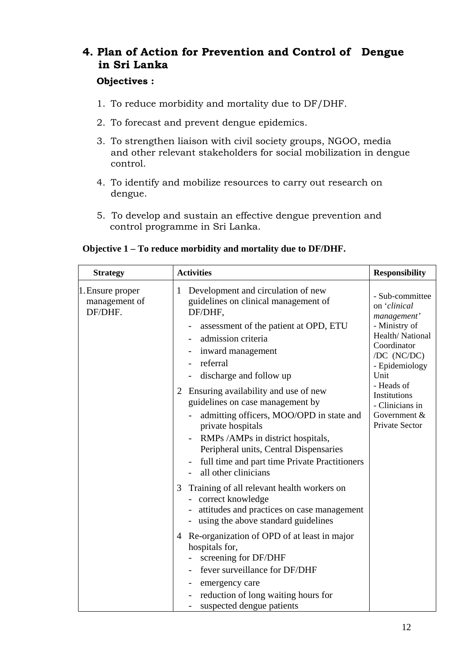# **4. Plan of Action for Prevention and Control of Dengue in Sri Lanka**

#### **Objectives :**

- 1. To reduce morbidity and mortality due to DF/DHF.
- 2. To forecast and prevent dengue epidemics.
- 3. To strengthen liaison with civil society groups, NGOO, media and other relevant stakeholders for social mobilization in dengue control.
- 4. To identify and mobilize resources to carry out research on dengue.
- 5. To develop and sustain an effective dengue prevention and control programme in Sri Lanka.

#### **Objective 1 – To reduce morbidity and mortality due to DF/DHF.**

| <b>Strategy</b>                              | <b>Activities</b>                                                                                                                                                                                                                                                                                      | <b>Responsibility</b>                                                                                                                      |
|----------------------------------------------|--------------------------------------------------------------------------------------------------------------------------------------------------------------------------------------------------------------------------------------------------------------------------------------------------------|--------------------------------------------------------------------------------------------------------------------------------------------|
| 1. Ensure proper<br>management of<br>DF/DHF. | Development and circulation of new<br>1<br>guidelines on clinical management of<br>DF/DHF,<br>assessment of the patient at OPD, ETU<br>admission criteria<br>inward management<br>referral<br>discharge and follow up                                                                                  | - Sub-committee<br>on 'clinical<br>management'<br>- Ministry of<br>Health/National<br>Coordinator<br>/DC (NC/DC)<br>- Epidemiology<br>Unit |
|                                              | Ensuring availability and use of new<br>2<br>guidelines on case management by<br>admitting officers, MOO/OPD in state and<br>private hospitals<br>RMPs /AMPs in district hospitals,<br>Peripheral units, Central Dispensaries<br>full time and part time Private Practitioners<br>all other clinicians | - Heads of<br>Institutions<br>- Clinicians in<br>Government $&$<br>Private Sector                                                          |
|                                              | Training of all relevant health workers on<br>3<br>correct knowledge<br>attitudes and practices on case management<br>using the above standard guidelines                                                                                                                                              |                                                                                                                                            |
|                                              | Re-organization of OPD of at least in major<br>4<br>hospitals for,<br>screening for DF/DHF<br>fever surveillance for DF/DHF<br>emergency care<br>reduction of long waiting hours for<br>suspected dengue patients                                                                                      |                                                                                                                                            |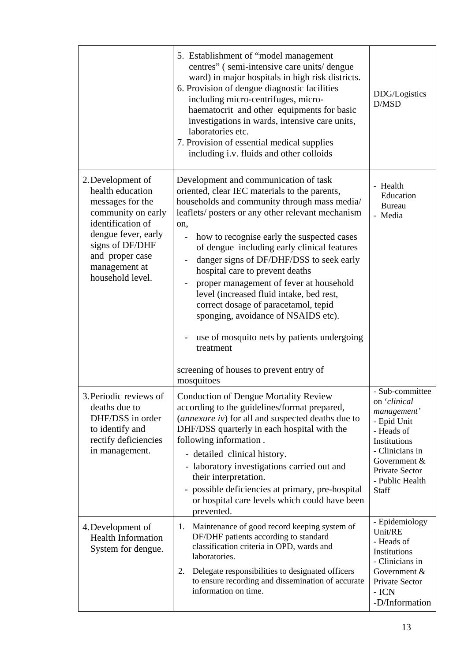|                                                                                                                                                                                                        | 5. Establishment of "model management"<br>centres" (semi-intensive care units/dengue<br>ward) in major hospitals in high risk districts.<br>6. Provision of dengue diagnostic facilities<br>including micro-centrifuges, micro-<br>haematocrit and other equipments for basic<br>investigations in wards, intensive care units,<br>laboratories etc.<br>7. Provision of essential medical supplies<br>including i.v. fluids and other colloids                                                                                                                                                                                                                            | DDG/Logistics<br>D/MSD                                                                                                                                                       |
|--------------------------------------------------------------------------------------------------------------------------------------------------------------------------------------------------------|---------------------------------------------------------------------------------------------------------------------------------------------------------------------------------------------------------------------------------------------------------------------------------------------------------------------------------------------------------------------------------------------------------------------------------------------------------------------------------------------------------------------------------------------------------------------------------------------------------------------------------------------------------------------------|------------------------------------------------------------------------------------------------------------------------------------------------------------------------------|
| 2. Development of<br>health education<br>messages for the<br>community on early<br>identification of<br>dengue fever, early<br>signs of DF/DHF<br>and proper case<br>management at<br>household level. | Development and communication of task<br>oriented, clear IEC materials to the parents,<br>households and community through mass media/<br>leaflets/ posters or any other relevant mechanism<br>on,<br>how to recognise early the suspected cases<br>of dengue including early clinical features<br>danger signs of DF/DHF/DSS to seek early<br>hospital care to prevent deaths<br>proper management of fever at household<br>level (increased fluid intake, bed rest,<br>correct dosage of paracetamol, tepid<br>sponging, avoidance of NSAIDS etc).<br>use of mosquito nets by patients undergoing<br>treatment<br>screening of houses to prevent entry of<br>mosquitoes | - Health<br>Education<br><b>Bureau</b><br>- Media                                                                                                                            |
| 3. Periodic reviews of<br>deaths due to<br>DHF/DSS in order<br>to identify and<br>rectify deficiencies<br>in management.                                                                               | <b>Conduction of Dengue Mortality Review</b><br>according to the guidelines/format prepared,<br>(annexure iv) for all and suspected deaths due to<br>DHF/DSS quarterly in each hospital with the<br>following information.<br>- detailed clinical history.<br>- laboratory investigations carried out and<br>their interpretation.<br>- possible deficiencies at primary, pre-hospital<br>or hospital care levels which could have been<br>prevented.                                                                                                                                                                                                                     | - Sub-committee<br>on 'clinical<br>management'<br>- Epid Unit<br>- Heads of<br>Institutions<br>- Clinicians in<br>Government &<br>Private Sector<br>- Public Health<br>Staff |
| 4. Development of<br><b>Health Information</b><br>System for dengue.                                                                                                                                   | Maintenance of good record keeping system of<br>1.<br>DF/DHF patients according to standard<br>classification criteria in OPD, wards and<br>laboratories.<br>Delegate responsibilities to designated officers<br>2.<br>to ensure recording and dissemination of accurate<br>information on time.                                                                                                                                                                                                                                                                                                                                                                          | - Epidemiology<br>Unit/RE<br>- Heads of<br>Institutions<br>- Clinicians in<br>Government &<br>Private Sector<br>$-ICN$<br>-D/Information                                     |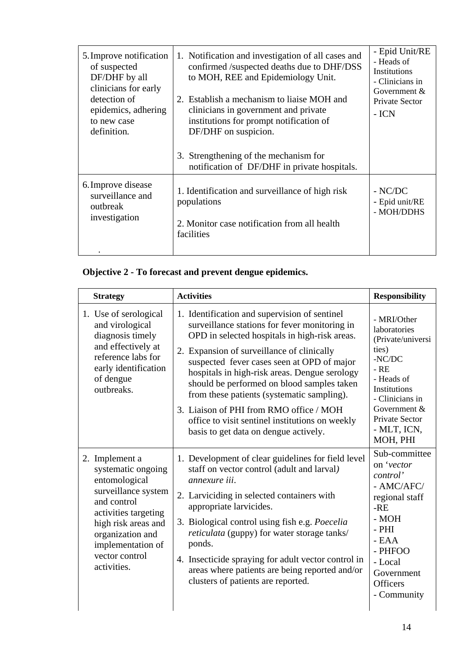| 5. Improve notification<br>of suspected<br>DF/DHF by all<br>clinicians for early<br>detection of<br>epidemics, adhering<br>to new case<br>definition. | 1. Notification and investigation of all cases and<br>confirmed /suspected deaths due to DHF/DSS<br>to MOH, REE and Epidemiology Unit.<br>2. Establish a mechanism to liaise MOH and<br>clinicians in government and private<br>institutions for prompt notification of<br>DF/DHF on suspicion.<br>3. Strengthening of the mechanism for | - Epid Unit/RE<br>- Heads of<br>Institutions<br>- Clinicians in<br>Government $&$<br>Private Sector<br>- ICN |
|-------------------------------------------------------------------------------------------------------------------------------------------------------|------------------------------------------------------------------------------------------------------------------------------------------------------------------------------------------------------------------------------------------------------------------------------------------------------------------------------------------|--------------------------------------------------------------------------------------------------------------|
|                                                                                                                                                       | notification of DF/DHF in private hospitals.                                                                                                                                                                                                                                                                                             |                                                                                                              |
| 6. Improve disease<br>surveillance and<br>outbreak<br>investigation                                                                                   | 1. Identification and surveillance of high risk<br>populations<br>2. Monitor case notification from all health<br>facilities                                                                                                                                                                                                             | $-$ NC/DC<br>- Epid unit/RE<br>- MOH/DDHS                                                                    |

# **Objective 2 - To forecast and prevent dengue epidemics.**

| <b>Strategy</b>                                                                                                                                                                                                      | <b>Activities</b>                                                                                                                                                                                                                                                                                                                                                                                                                                                                                                               | <b>Responsibility</b>                                                                                                                                                                          |
|----------------------------------------------------------------------------------------------------------------------------------------------------------------------------------------------------------------------|---------------------------------------------------------------------------------------------------------------------------------------------------------------------------------------------------------------------------------------------------------------------------------------------------------------------------------------------------------------------------------------------------------------------------------------------------------------------------------------------------------------------------------|------------------------------------------------------------------------------------------------------------------------------------------------------------------------------------------------|
| 1. Use of serological<br>and virological<br>diagnosis timely<br>and effectively at<br>reference labs for<br>early identification<br>of dengue<br>outbreaks.                                                          | 1. Identification and supervision of sentinel<br>surveillance stations for fever monitoring in<br>OPD in selected hospitals in high-risk areas.<br>2. Expansion of surveillance of clinically<br>suspected fever cases seen at OPD of major<br>hospitals in high-risk areas. Dengue serology<br>should be performed on blood samples taken<br>from these patients (systematic sampling).<br>3. Liaison of PHI from RMO office / MOH<br>office to visit sentinel institutions on weekly<br>basis to get data on dengue actively. | - MRI/Other<br>laboratories<br>(Private/universi<br>ties)<br>$-NC/DC$<br>$-RE$<br>- Heads of<br>Institutions<br>- Clinicians in<br>Government $&$<br>Private Sector<br>- MLT, ICN,<br>MOH, PHI |
| 2. Implement a<br>systematic ongoing<br>entomological<br>surveillance system<br>and control<br>activities targeting<br>high risk areas and<br>organization and<br>implementation of<br>vector control<br>activities. | 1. Development of clear guidelines for field level<br>staff on vector control (adult and larval)<br>annexure iii.<br>2. Larviciding in selected containers with<br>appropriate larvicides.<br>3. Biological control using fish e.g. <i>Poecelia</i><br>reticulata (guppy) for water storage tanks/<br>ponds.<br>4. Insecticide spraying for adult vector control in<br>areas where patients are being reported and/or<br>clusters of patients are reported.                                                                     | Sub-committee<br>on 'vector<br>control'<br>- AMC/AFC/<br>regional staff<br>$-RE$<br>$-MOH$<br>$-$ PHI<br>$- EAA$<br>- PHFOO<br>- Local<br>Government<br><b>Officers</b><br>- Community         |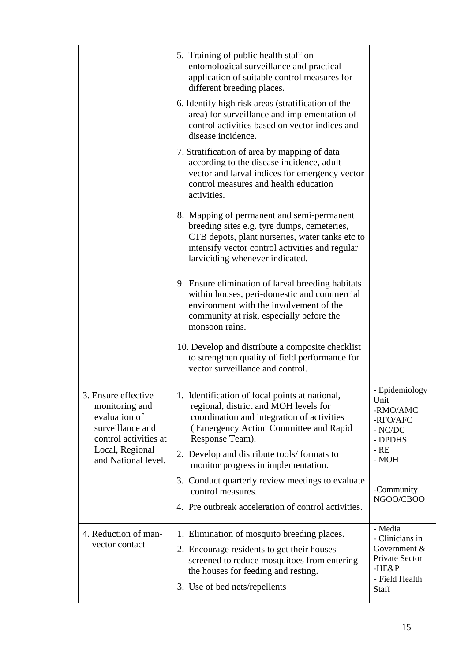|                                                                                                                                               | 5. Training of public health staff on<br>entomological surveillance and practical<br>application of suitable control measures for<br>different breeding places.<br>6. Identify high risk areas (stratification of the<br>area) for surveillance and implementation of<br>control activities based on vector indices and<br>disease incidence.<br>7. Stratification of area by mapping of data<br>according to the disease incidence, adult<br>vector and larval indices for emergency vector<br>control measures and health education<br>activities. |                                                                                                       |
|-----------------------------------------------------------------------------------------------------------------------------------------------|------------------------------------------------------------------------------------------------------------------------------------------------------------------------------------------------------------------------------------------------------------------------------------------------------------------------------------------------------------------------------------------------------------------------------------------------------------------------------------------------------------------------------------------------------|-------------------------------------------------------------------------------------------------------|
|                                                                                                                                               | 8. Mapping of permanent and semi-permanent<br>breeding sites e.g. tyre dumps, cemeteries,<br>CTB depots, plant nurseries, water tanks etc to<br>intensify vector control activities and regular<br>larviciding whenever indicated.                                                                                                                                                                                                                                                                                                                   |                                                                                                       |
|                                                                                                                                               | 9. Ensure elimination of larval breeding habitats<br>within houses, peri-domestic and commercial<br>environment with the involvement of the<br>community at risk, especially before the<br>monsoon rains.                                                                                                                                                                                                                                                                                                                                            |                                                                                                       |
|                                                                                                                                               | 10. Develop and distribute a composite checklist<br>to strengthen quality of field performance for<br>vector surveillance and control.                                                                                                                                                                                                                                                                                                                                                                                                               |                                                                                                       |
| 3. Ensure effective<br>monitoring and<br>evaluation of<br>surveillance and<br>control activities at<br>Local, Regional<br>and National level. | 1. Identification of focal points at national.<br>regional, district and MOH levels for<br>coordination and integration of activities<br>(Emergency Action Committee and Rapid<br>Response Team).<br>2. Develop and distribute tools/formats to<br>monitor progress in implementation.                                                                                                                                                                                                                                                               | - Epidemiology<br>Unit<br>-RMO/AMC<br>-RFO/AFC<br>$-$ NC/DC<br>- DPDHS<br>$-RE$<br>- MOH              |
|                                                                                                                                               | 3. Conduct quarterly review meetings to evaluate<br>control measures.<br>4. Pre outbreak acceleration of control activities.                                                                                                                                                                                                                                                                                                                                                                                                                         | -Community<br>NGOO/CBOO                                                                               |
| 4. Reduction of man-<br>vector contact                                                                                                        | 1. Elimination of mosquito breeding places.<br>2. Encourage residents to get their houses<br>screened to reduce mosquitoes from entering<br>the houses for feeding and resting.<br>3. Use of bed nets/repellents                                                                                                                                                                                                                                                                                                                                     | - Media<br>- Clinicians in<br>Government $&$<br>Private Sector<br>$-HE\&P$<br>- Field Health<br>Staff |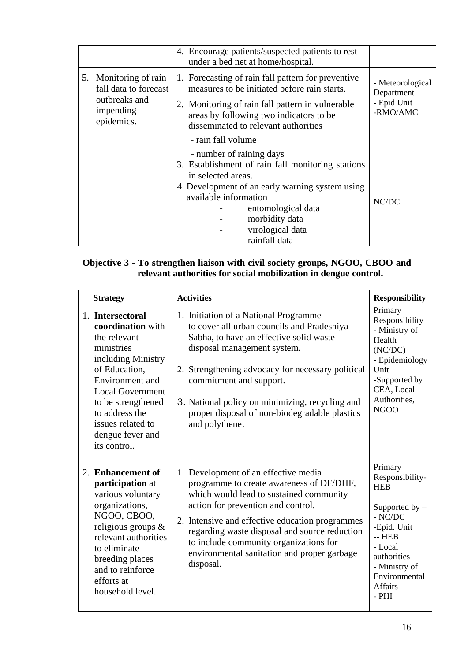|                                                                                            | 4. Encourage patients/suspected patients to rest                                                                                                                                                                                                                |                                                           |
|--------------------------------------------------------------------------------------------|-----------------------------------------------------------------------------------------------------------------------------------------------------------------------------------------------------------------------------------------------------------------|-----------------------------------------------------------|
|                                                                                            | under a bed net at home/hospital.                                                                                                                                                                                                                               |                                                           |
| 5. Monitoring of rain<br>fall data to forecast<br>outbreaks and<br>impending<br>epidemics. | 1. Forecasting of rain fall pattern for preventive<br>measures to be initiated before rain starts.<br>2. Monitoring of rain fall pattern in vulnerable<br>areas by following two indicators to be<br>disseminated to relevant authorities<br>- rain fall volume | - Meteorological<br>Department<br>- Epid Unit<br>-RMO/AMC |
|                                                                                            | - number of raining days<br>3. Establishment of rain fall monitoring stations<br>in selected areas.<br>4. Development of an early warning system using<br>available information<br>entomological data<br>morbidity data<br>virological data<br>rainfall data    | NC/DC                                                     |

#### **Objective 3 - To strengthen liaison with civil society groups, NGOO, CBOO and relevant authorities for social mobilization in dengue control.**

| <b>Strategy</b>                                                                                                                                                                                                                                           | <b>Activities</b>                                                                                                                                                                                                                                                                                                                                                           | <b>Responsibility</b>                                                                                                                                                                        |
|-----------------------------------------------------------------------------------------------------------------------------------------------------------------------------------------------------------------------------------------------------------|-----------------------------------------------------------------------------------------------------------------------------------------------------------------------------------------------------------------------------------------------------------------------------------------------------------------------------------------------------------------------------|----------------------------------------------------------------------------------------------------------------------------------------------------------------------------------------------|
| 1. Intersectoral<br>coordination with<br>the relevant<br>ministries<br>including Ministry<br>of Education,<br>Environment and<br><b>Local Government</b><br>to be strengthened<br>to address the<br>issues related to<br>dengue fever and<br>its control. | 1. Initiation of a National Programme<br>to cover all urban councils and Pradeshiya<br>Sabha, to have an effective solid waste<br>disposal management system.<br>2. Strengthening advocacy for necessary political<br>commitment and support.<br>3. National policy on minimizing, recycling and<br>proper disposal of non-biodegradable plastics<br>and polythene.         | Primary<br>Responsibility<br>- Ministry of<br>Health<br>(NC/DC)<br>- Epidemiology<br>Unit<br>-Supported by<br>CEA, Local<br>Authorities,<br>NGOO                                             |
| 2. Enhancement of<br>participation at<br>various voluntary<br>organizations,<br>NGOO, CBOO,<br>religious groups $\&$<br>relevant authorities<br>to eliminate<br>breeding places<br>and to reinforce<br>efforts at<br>household level.                     | 1. Development of an effective media<br>programme to create awareness of DF/DHF,<br>which would lead to sustained community<br>action for prevention and control.<br>2. Intensive and effective education programmes<br>regarding waste disposal and source reduction<br>to include community organizations for<br>environmental sanitation and proper garbage<br>disposal. | Primary<br>Responsibility-<br><b>HEB</b><br>Supported by $-$<br>$-$ NC/DC<br>-Epid. Unit<br>$-$ HEB<br>- Local<br>authorities<br>- Ministry of<br>Environmental<br><b>Affairs</b><br>$-$ PHI |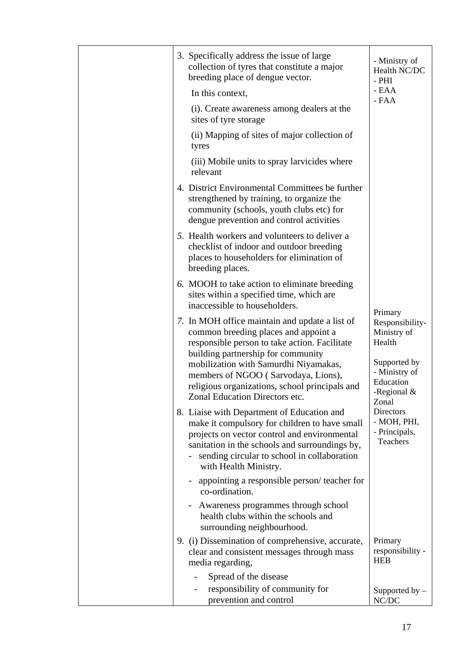| 3. Specifically address the issue of large<br>collection of tyres that constitute a major<br>breeding place of dengue vector.                                                                                                                                                                                                                     | - Ministry of<br>Health NC/DC<br>$-$ PHI                                                                          |
|---------------------------------------------------------------------------------------------------------------------------------------------------------------------------------------------------------------------------------------------------------------------------------------------------------------------------------------------------|-------------------------------------------------------------------------------------------------------------------|
| In this context,                                                                                                                                                                                                                                                                                                                                  | - EAA<br>- ${\rm FAA}$                                                                                            |
| (i). Create awareness among dealers at the<br>sites of tyre storage                                                                                                                                                                                                                                                                               |                                                                                                                   |
| (ii) Mapping of sites of major collection of<br>tyres                                                                                                                                                                                                                                                                                             |                                                                                                                   |
| (iii) Mobile units to spray larvicides where<br>relevant                                                                                                                                                                                                                                                                                          |                                                                                                                   |
| 4. District Environmental Committees be further<br>strengthened by training, to organize the<br>community (schools, youth clubs etc) for<br>dengue prevention and control activities                                                                                                                                                              |                                                                                                                   |
| 5. Health workers and volunteers to deliver a<br>checklist of indoor and outdoor breeding<br>places to householders for elimination of<br>breeding places.                                                                                                                                                                                        |                                                                                                                   |
| 6. MOOH to take action to eliminate breeding<br>sites within a specified time, which are<br>inaccessible to householders.                                                                                                                                                                                                                         | Primary                                                                                                           |
| 7. In MOH office maintain and update a list of<br>common breeding places and appoint a<br>responsible person to take action. Facilitate<br>building partnership for community<br>mobilization with Samurdhi Niyamakas,<br>members of NGOO (Sarvodaya, Lions),<br>religious organizations, school principals and<br>Zonal Education Directors etc. | Responsibility-<br>Ministry of<br>Health<br>Supported by<br>- Ministry of<br>Education<br>-Regional $\&$<br>Zonal |
| 8. Liaise with Department of Education and<br>make it compulsory for children to have small<br>projects on vector control and environmental<br>sanitation in the schools and surroundings by,<br>sending circular to school in collaboration<br>with Health Ministry.                                                                             | Directors<br>- MOH, PHI,<br>- Principals,<br><b>Teachers</b>                                                      |
| appointing a responsible person/teacher for<br>co-ordination.                                                                                                                                                                                                                                                                                     |                                                                                                                   |
| Awareness programmes through school<br>$\blacksquare$<br>health clubs within the schools and<br>surrounding neighbourhood.                                                                                                                                                                                                                        |                                                                                                                   |
| 9. (i) Dissemination of comprehensive, accurate,<br>clear and consistent messages through mass<br>media regarding,                                                                                                                                                                                                                                | Primary<br>responsibility -<br><b>HEB</b>                                                                         |
| Spread of the disease                                                                                                                                                                                                                                                                                                                             |                                                                                                                   |
| responsibility of community for<br>prevention and control                                                                                                                                                                                                                                                                                         | Supported by -<br>NC/DC                                                                                           |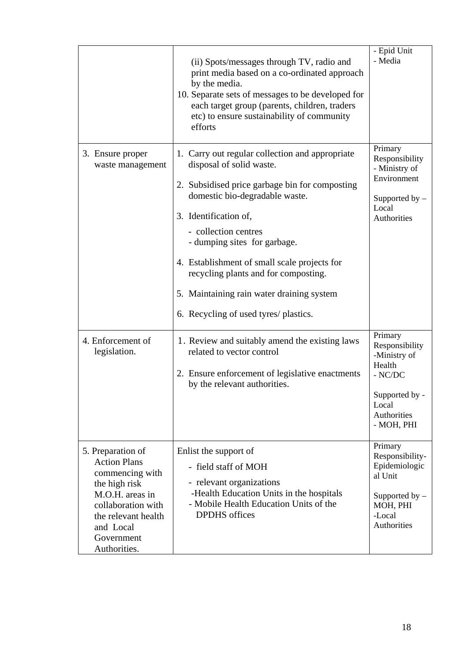|                                                                                                                                                                                         | (ii) Spots/messages through TV, radio and<br>print media based on a co-ordinated approach<br>by the media.<br>10. Separate sets of messages to be developed for<br>each target group (parents, children, traders<br>etc) to ensure sustainability of community<br>efforts                                                                                                                                                      | - Epid Unit<br>- Media<br>Primary                                                                                        |
|-----------------------------------------------------------------------------------------------------------------------------------------------------------------------------------------|--------------------------------------------------------------------------------------------------------------------------------------------------------------------------------------------------------------------------------------------------------------------------------------------------------------------------------------------------------------------------------------------------------------------------------|--------------------------------------------------------------------------------------------------------------------------|
| 3. Ensure proper<br>waste management                                                                                                                                                    | 1. Carry out regular collection and appropriate<br>disposal of solid waste.<br>2. Subsidised price garbage bin for composting<br>domestic bio-degradable waste.<br>3. Identification of,<br>- collection centres<br>- dumping sites for garbage.<br>4. Establishment of small scale projects for<br>recycling plants and for composting.<br>5. Maintaining rain water draining system<br>6. Recycling of used tyres/ plastics. | Responsibility<br>- Ministry of<br>Environment<br>Supported by $-$<br>Local<br>Authorities                               |
| 4. Enforcement of<br>legislation.                                                                                                                                                       | 1. Review and suitably amend the existing laws<br>related to vector control<br>2. Ensure enforcement of legislative enactments<br>by the relevant authorities.                                                                                                                                                                                                                                                                 | Primary<br>Responsibility<br>-Ministry of<br>Health<br>$-$ NC/DC<br>Supported by -<br>Local<br>Authorities<br>- MOH, PHI |
| 5. Preparation of<br><b>Action Plans</b><br>commencing with<br>the high risk<br>M.O.H. areas in<br>collaboration with<br>the relevant health<br>and Local<br>Government<br>Authorities. | Enlist the support of<br>- field staff of MOH<br>- relevant organizations<br>-Health Education Units in the hospitals<br>- Mobile Health Education Units of the<br><b>DPDHS</b> offices                                                                                                                                                                                                                                        | Primary<br>Responsibility-<br>Epidemiologic<br>al Unit<br>Supported by $-$<br>MOH, PHI<br>-Local<br>Authorities          |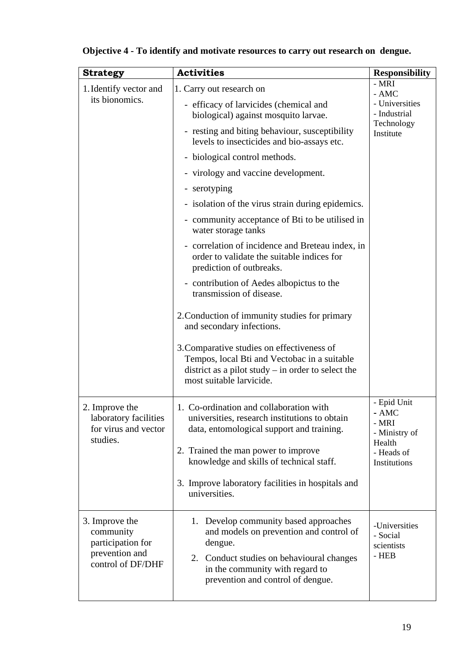| <b>Strategy</b>                                                                         | <b>Activities</b>                                                                                                                                                                                                        | <b>Responsibility</b>                                                                    |
|-----------------------------------------------------------------------------------------|--------------------------------------------------------------------------------------------------------------------------------------------------------------------------------------------------------------------------|------------------------------------------------------------------------------------------|
| 1. Identify vector and                                                                  | 1. Carry out research on                                                                                                                                                                                                 | - MRI<br>- AMC                                                                           |
| its bionomics.                                                                          | - efficacy of larvicides (chemical and<br>biological) against mosquito larvae.                                                                                                                                           | - Universities<br>- Industrial                                                           |
|                                                                                         | - resting and biting behaviour, susceptibility<br>levels to insecticides and bio-assays etc.                                                                                                                             | Technology<br>Institute                                                                  |
|                                                                                         | - biological control methods.                                                                                                                                                                                            |                                                                                          |
|                                                                                         | - virology and vaccine development.                                                                                                                                                                                      |                                                                                          |
|                                                                                         | - serotyping                                                                                                                                                                                                             |                                                                                          |
|                                                                                         | - isolation of the virus strain during epidemics.                                                                                                                                                                        |                                                                                          |
|                                                                                         | - community acceptance of Bti to be utilised in<br>water storage tanks                                                                                                                                                   |                                                                                          |
|                                                                                         | correlation of incidence and Breteau index, in<br>$\overline{\phantom{a}}$<br>order to validate the suitable indices for<br>prediction of outbreaks.                                                                     |                                                                                          |
|                                                                                         | - contribution of Aedes albopictus to the<br>transmission of disease.                                                                                                                                                    |                                                                                          |
|                                                                                         | 2. Conduction of immunity studies for primary<br>and secondary infections.                                                                                                                                               |                                                                                          |
|                                                                                         | 3. Comparative studies on effectiveness of<br>Tempos, local Bti and Vectobac in a suitable<br>district as a pilot study $-$ in order to select the<br>most suitable larvicide.                                           |                                                                                          |
| 2. Improve the<br>laboratory facilities<br>for virus and vector<br>studies.             | 1. Co-ordination and collaboration with<br>universities, research institutions to obtain<br>data, entomological support and training.<br>2. Trained the man power to improve<br>knowledge and skills of technical staff. | - Epid Unit<br>$- AMC$<br>- MRI<br>- Ministry of<br>Health<br>- Heads of<br>Institutions |
|                                                                                         | 3. Improve laboratory facilities in hospitals and<br>universities.                                                                                                                                                       |                                                                                          |
| 3. Improve the<br>community<br>participation for<br>prevention and<br>control of DF/DHF | Develop community based approaches<br>1.<br>and models on prevention and control of<br>dengue.<br>Conduct studies on behavioural changes<br>2.<br>in the community with regard to                                        | -Universities<br>- Social<br>scientists<br>- HEB                                         |
|                                                                                         | prevention and control of dengue.                                                                                                                                                                                        |                                                                                          |

# **Objective 4 - To identify and motivate resources to carry out research on dengue.**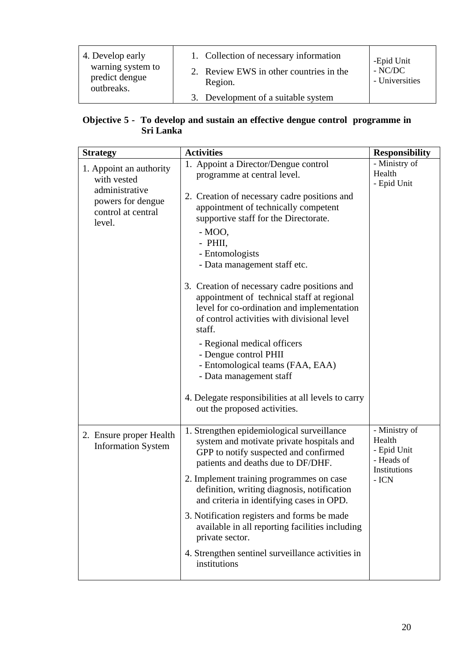| 4. Develop early                                  | 1. Collection of necessary information             | -Epid Unit                  |
|---------------------------------------------------|----------------------------------------------------|-----------------------------|
| warning system to<br>predict dengue<br>outbreaks. | 2. Review EWS in other countries in the<br>Region. | $-$ NC/DC<br>- Universities |
|                                                   | 3. Development of a suitable system                |                             |

#### **Objective 5 - To develop and sustain an effective dengue control programme in Sri Lanka**

| <b>Strategy</b>                                                     | <b>Activities</b>                                                                                                                                                                                                                                                                                                        | <b>Responsibility</b>                                                         |
|---------------------------------------------------------------------|--------------------------------------------------------------------------------------------------------------------------------------------------------------------------------------------------------------------------------------------------------------------------------------------------------------------------|-------------------------------------------------------------------------------|
| 1. Appoint an authority<br>with vested                              | 1. Appoint a Director/Dengue control<br>programme at central level.                                                                                                                                                                                                                                                      | - Ministry of<br>Health<br>- Epid Unit                                        |
| administrative<br>powers for dengue<br>control at central<br>level. | 2. Creation of necessary cadre positions and<br>appointment of technically competent<br>supportive staff for the Directorate.<br>$-MOO$ ,<br>- PHII,<br>- Entomologists<br>- Data management staff etc.                                                                                                                  |                                                                               |
|                                                                     | 3. Creation of necessary cadre positions and<br>appointment of technical staff at regional<br>level for co-ordination and implementation<br>of control activities with divisional level<br>staff.<br>- Regional medical officers<br>- Dengue control PHII<br>- Entomological teams (FAA, EAA)<br>- Data management staff |                                                                               |
|                                                                     | 4. Delegate responsibilities at all levels to carry<br>out the proposed activities.                                                                                                                                                                                                                                      |                                                                               |
| 2. Ensure proper Health<br><b>Information System</b>                | 1. Strengthen epidemiological surveillance<br>system and motivate private hospitals and<br>GPP to notify suspected and confirmed<br>patients and deaths due to DF/DHF.<br>2. Implement training programmes on case<br>definition, writing diagnosis, notification<br>and criteria in identifying cases in OPD.           | - Ministry of<br>Health<br>- Epid Unit<br>- Heads of<br>Institutions<br>- ICN |
|                                                                     | 3. Notification registers and forms be made<br>available in all reporting facilities including<br>private sector.                                                                                                                                                                                                        |                                                                               |
|                                                                     | 4. Strengthen sentinel surveillance activities in<br>institutions                                                                                                                                                                                                                                                        |                                                                               |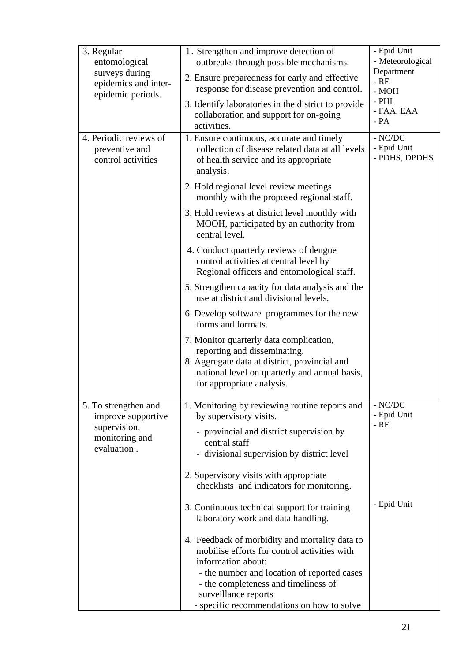| 3. Regular                                                                   | 1. Strengthen and improve detection of                                                                                                                                                                 | - Epid Unit                               |  |  |
|------------------------------------------------------------------------------|--------------------------------------------------------------------------------------------------------------------------------------------------------------------------------------------------------|-------------------------------------------|--|--|
| entomological                                                                | outbreaks through possible mechanisms.                                                                                                                                                                 | - Meteorological                          |  |  |
| surveys during<br>epidemics and inter-<br>epidemic periods.                  | 2. Ensure preparedness for early and effective<br>response for disease prevention and control.                                                                                                         | Department<br>$-RE$<br>$\mbox{-}$ MOH     |  |  |
|                                                                              | 3. Identify laboratories in the district to provide<br>collaboration and support for on-going<br>activities.                                                                                           | $-$ PHI<br>- FAA, EAA<br>$- PA$           |  |  |
| 4. Periodic reviews of<br>preventive and<br>control activities               | 1. Ensure continuous, accurate and timely<br>collection of disease related data at all levels<br>of health service and its appropriate<br>analysis.                                                    | $- NC/DC$<br>- Epid Unit<br>- PDHS, DPDHS |  |  |
|                                                                              | 2. Hold regional level review meetings<br>monthly with the proposed regional staff.                                                                                                                    |                                           |  |  |
|                                                                              | 3. Hold reviews at district level monthly with<br>MOOH, participated by an authority from<br>central level.                                                                                            |                                           |  |  |
|                                                                              | 4. Conduct quarterly reviews of dengue<br>control activities at central level by<br>Regional officers and entomological staff.                                                                         |                                           |  |  |
|                                                                              | 5. Strengthen capacity for data analysis and the<br>use at district and divisional levels.                                                                                                             |                                           |  |  |
|                                                                              | 6. Develop software programmes for the new<br>forms and formats.                                                                                                                                       |                                           |  |  |
|                                                                              | 7. Monitor quarterly data complication,<br>reporting and disseminating.<br>8. Aggregate data at district, provincial and<br>national level on quarterly and annual basis,<br>for appropriate analysis. |                                           |  |  |
| 5. To strengthen and<br>improve supportive<br>supervision,<br>monitoring and | 1. Monitoring by reviewing routine reports and<br>by supervisory visits.<br>- provincial and district supervision by<br>central staff                                                                  | $-$ NC/DC<br>- Epid Unit<br>- RE          |  |  |
| evaluation.                                                                  | - divisional supervision by district level                                                                                                                                                             |                                           |  |  |
|                                                                              | 2. Supervisory visits with appropriate<br>checklists and indicators for monitoring.                                                                                                                    |                                           |  |  |
|                                                                              | 3. Continuous technical support for training<br>laboratory work and data handling.                                                                                                                     | - Epid Unit                               |  |  |
|                                                                              | 4. Feedback of morbidity and mortality data to<br>mobilise efforts for control activities with<br>information about:                                                                                   |                                           |  |  |
|                                                                              | - the number and location of reported cases<br>- the completeness and timeliness of<br>surveillance reports<br>- specific recommendations on how to solve                                              |                                           |  |  |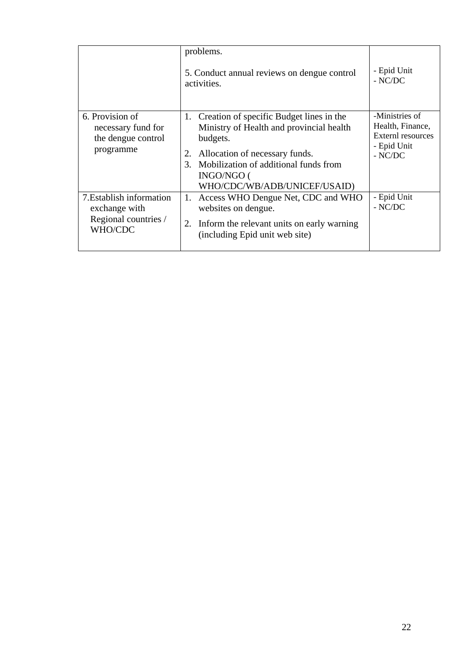|                                                                              | problems.<br>5. Conduct annual reviews on dengue control<br>activities.                                                                                                                                                                     | - Epid Unit<br>$-$ NC/DC                                                            |
|------------------------------------------------------------------------------|---------------------------------------------------------------------------------------------------------------------------------------------------------------------------------------------------------------------------------------------|-------------------------------------------------------------------------------------|
| 6. Provision of<br>necessary fund for<br>the dengue control<br>programme     | Creation of specific Budget lines in the<br>1.<br>Ministry of Health and provincial health<br>budgets.<br>Allocation of necessary funds.<br>2.<br>Mobilization of additional funds from<br>3.<br>INGO/NGO (<br>WHO/CDC/WB/ADB/UNICEF/USAID) | -Ministries of<br>Health, Finance,<br>Externl resources<br>- Epid Unit<br>$-$ NC/DC |
| 7. Establish information<br>exchange with<br>Regional countries /<br>WHO/CDC | Access WHO Dengue Net, CDC and WHO<br>1.<br>websites on dengue.<br>2.<br>Inform the relevant units on early warning<br>(including Epid unit web site)                                                                                       | - Epid Unit<br>$-$ NC/DC                                                            |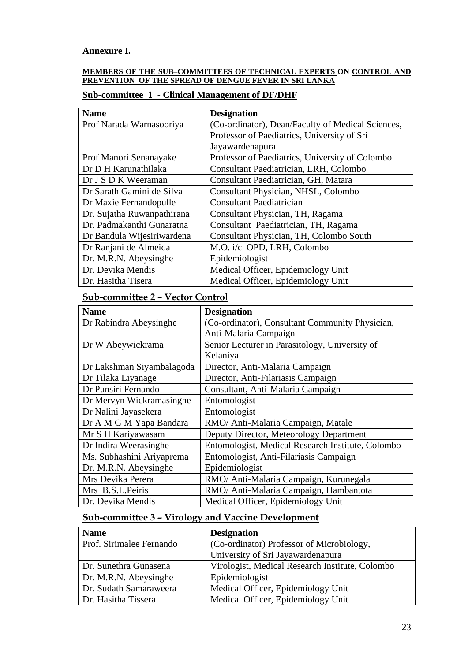#### **Annexure I.**

#### **MEMBERS OF THE SUB–COMMITTEES OF TECHNICAL EXPERTS ON CONTROL AND PREVENTION OF THE SPREAD OF DENGUE FEVER IN SRI LANKA**

#### **Sub-committee 1 - Clinical Management of DF/DHF**

| <b>Name</b>                | <b>Designation</b>                                |  |  |  |  |
|----------------------------|---------------------------------------------------|--|--|--|--|
| Prof Narada Warnasooriya   | (Co-ordinator), Dean/Faculty of Medical Sciences, |  |  |  |  |
|                            | Professor of Paediatrics, University of Sri       |  |  |  |  |
|                            | Jayawardenapura                                   |  |  |  |  |
| Prof Manori Senanayake     | Professor of Paediatrics, University of Colombo   |  |  |  |  |
| Dr D H Karunathilaka       | Consultant Paediatrician, LRH, Colombo            |  |  |  |  |
| Dr J S D K Weeraman        | Consultant Paediatrician, GH, Matara              |  |  |  |  |
| Dr Sarath Gamini de Silva  | Consultant Physician, NHSL, Colombo               |  |  |  |  |
| Dr Maxie Fernandopulle     | <b>Consultant Paediatrician</b>                   |  |  |  |  |
| Dr. Sujatha Ruwanpathirana | Consultant Physician, TH, Ragama                  |  |  |  |  |
| Dr. Padmakanthi Gunaratna  | Consultant Paediatrician, TH, Ragama              |  |  |  |  |
| Dr Bandula Wijesiriwardena | Consultant Physician, TH, Colombo South           |  |  |  |  |
| Dr Ranjani de Almeida      | M.O. i/c OPD, LRH, Colombo                        |  |  |  |  |
| Dr. M.R.N. Abeysinghe      | Epidemiologist                                    |  |  |  |  |
| Dr. Devika Mendis          | Medical Officer, Epidemiology Unit                |  |  |  |  |
| Dr. Hasitha Tisera         | Medical Officer, Epidemiology Unit                |  |  |  |  |

#### **Sub-committee 2 – Vector Control**

| <b>Name</b>               | <b>Designation</b>                                |
|---------------------------|---------------------------------------------------|
| Dr Rabindra Abeysinghe    | (Co-ordinator), Consultant Community Physician,   |
|                           | Anti-Malaria Campaign                             |
| Dr W Abeywickrama         | Senior Lecturer in Parasitology, University of    |
|                           | Kelaniya                                          |
| Dr Lakshman Siyambalagoda | Director, Anti-Malaria Campaign                   |
| Dr Tilaka Liyanage        | Director, Anti-Filariasis Campaign                |
| Dr Punsiri Fernando       | Consultant, Anti-Malaria Campaign                 |
| Dr Mervyn Wickramasinghe  | Entomologist                                      |
| Dr Nalini Jayasekera      | Entomologist                                      |
| Dr A M G M Yapa Bandara   | RMO/ Anti-Malaria Campaign, Matale                |
| Mr S H Kariyawasam        | Deputy Director, Meteorology Department           |
| Dr Indira Weerasinghe     | Entomologist, Medical Research Institute, Colombo |
| Ms. Subhashini Ariyaprema | Entomologist, Anti-Filariasis Campaign            |
| Dr. M.R.N. Abeysinghe     | Epidemiologist                                    |
| Mrs Devika Perera         | RMO/ Anti-Malaria Campaign, Kurunegala            |
| Mrs B.S.L.Peiris          | RMO/ Anti-Malaria Campaign, Hambantota            |
| Dr. Devika Mendis         | Medical Officer, Epidemiology Unit                |

# **Sub-committee 3 – Virology and Vaccine Development**

| <b>Name</b>              | <b>Designation</b>                              |
|--------------------------|-------------------------------------------------|
| Prof. Sirimalee Fernando | (Co-ordinator) Professor of Microbiology,       |
|                          | University of Sri Jayawardenapura               |
| Dr. Sunethra Gunasena    | Virologist, Medical Research Institute, Colombo |
| Dr. M.R.N. Abeysinghe    | Epidemiologist                                  |
| Dr. Sudath Samaraweera   | Medical Officer, Epidemiology Unit              |
| Dr. Hasitha Tissera      | Medical Officer, Epidemiology Unit              |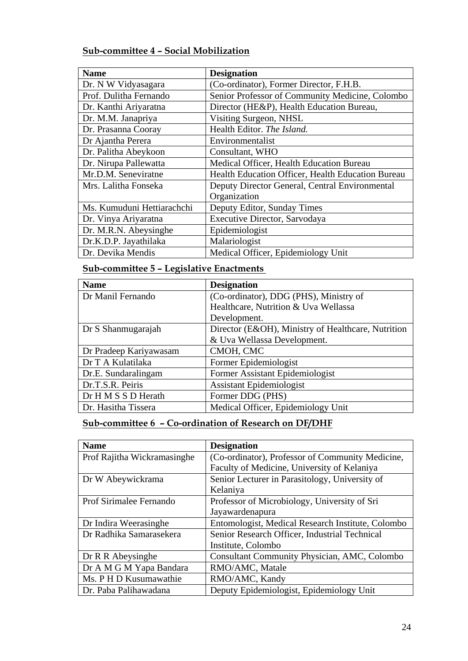# **Sub-committee 4 – Social Mobilization**

| <b>Name</b>                | <b>Designation</b>                                |
|----------------------------|---------------------------------------------------|
| Dr. N W Vidyasagara        | (Co-ordinator), Former Director, F.H.B.           |
| Prof. Dulitha Fernando     | Senior Professor of Community Medicine, Colombo   |
| Dr. Kanthi Ariyaratna      | Director (HE&P), Health Education Bureau,         |
| Dr. M.M. Janapriya         | Visiting Surgeon, NHSL                            |
| Dr. Prasanna Cooray        | Health Editor. The Island.                        |
| Dr Ajantha Perera          | Environmentalist                                  |
| Dr. Palitha Abeykoon       | Consultant, WHO                                   |
| Dr. Nirupa Pallewatta      | Medical Officer, Health Education Bureau          |
| Mr.D.M. Seneviratne        | Health Education Officer, Health Education Bureau |
| Mrs. Lalitha Fonseka       | Deputy Director General, Central Environmental    |
|                            | Organization                                      |
| Ms. Kumuduni Hettiarachchi | Deputy Editor, Sunday Times                       |
| Dr. Vinya Ariyaratna       | Executive Director, Sarvodaya                     |
| Dr. M.R.N. Abeysinghe      | Epidemiologist                                    |
| Dr.K.D.P. Jayathilaka      | Malariologist                                     |
| Dr. Devika Mendis          | Medical Officer, Epidemiology Unit                |

# **Sub-committee 5 – Legislative Enactments**

| <b>Name</b>            | <b>Designation</b>                                 |
|------------------------|----------------------------------------------------|
| Dr Manil Fernando      | (Co-ordinator), DDG (PHS), Ministry of             |
|                        | Healthcare, Nutrition & Uva Wellassa               |
|                        | Development.                                       |
| Dr S Shanmugarajah     | Director (E&OH), Ministry of Healthcare, Nutrition |
|                        | & Uva Wellassa Development.                        |
| Dr Pradeep Kariyawasam | CMOH, CMC                                          |
| Dr T A Kulatilaka      | Former Epidemiologist                              |
| Dr.E. Sundaralingam    | Former Assistant Epidemiologist                    |
| Dr.T.S.R. Peiris       | <b>Assistant Epidemiologist</b>                    |
| Dr H M S S D Herath    | Former DDG (PHS)                                   |
| Dr. Hasitha Tissera    | Medical Officer, Epidemiology Unit                 |

# **Sub-committee 6 – Co-ordination of Research on DF/DHF**

| <b>Name</b>                 | <b>Designation</b>                                  |
|-----------------------------|-----------------------------------------------------|
| Prof Rajitha Wickramasinghe | (Co-ordinator), Professor of Community Medicine,    |
|                             | Faculty of Medicine, University of Kelaniya         |
| Dr W Abeywickrama           | Senior Lecturer in Parasitology, University of      |
|                             | Kelaniya                                            |
| Prof Sirimalee Fernando     | Professor of Microbiology, University of Sri        |
|                             | Jayawardenapura                                     |
| Dr Indira Weerasinghe       | Entomologist, Medical Research Institute, Colombo   |
| Dr Radhika Samarasekera     | Senior Research Officer, Industrial Technical       |
|                             | Institute, Colombo                                  |
| Dr R R Abeysinghe           | <b>Consultant Community Physician, AMC, Colombo</b> |
| Dr A M G M Yapa Bandara     | RMO/AMC, Matale                                     |
| Ms. P H D Kusumawathie      | RMO/AMC, Kandy                                      |
| Dr. Paba Palihawadana       | Deputy Epidemiologist, Epidemiology Unit            |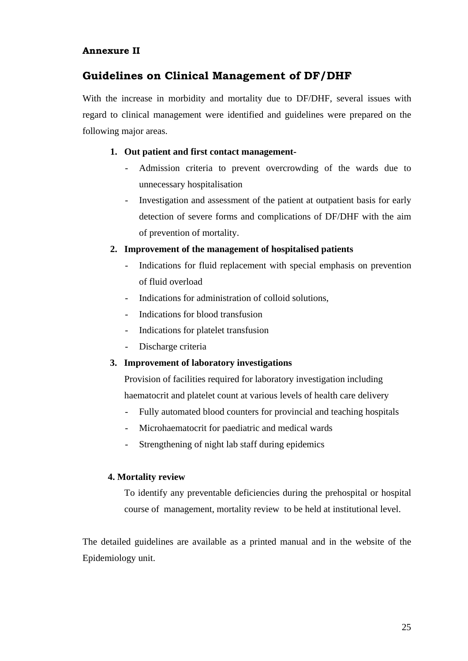#### **Annexure II**

# **Guidelines on Clinical Management of DF/DHF**

With the increase in morbidity and mortality due to DF/DHF, several issues with regard to clinical management were identified and guidelines were prepared on the following major areas.

#### **1. Out patient and first contact management-**

- Admission criteria to prevent overcrowding of the wards due to unnecessary hospitalisation
- Investigation and assessment of the patient at outpatient basis for early detection of severe forms and complications of DF/DHF with the aim of prevention of mortality.

#### **2. Improvement of the management of hospitalised patients**

- Indications for fluid replacement with special emphasis on prevention of fluid overload
- Indications for administration of colloid solutions,
- Indications for blood transfusion
- Indications for platelet transfusion
- Discharge criteria

#### **3. Improvement of laboratory investigations**

Provision of facilities required for laboratory investigation including haematocrit and platelet count at various levels of health care delivery

- Fully automated blood counters for provincial and teaching hospitals
- Microhaematocrit for paediatric and medical wards
- Strengthening of night lab staff during epidemics

#### **4. Mortality review**

To identify any preventable deficiencies during the prehospital or hospital course of management, mortality review to be held at institutional level.

The detailed guidelines are available as a printed manual and in the website of the Epidemiology unit.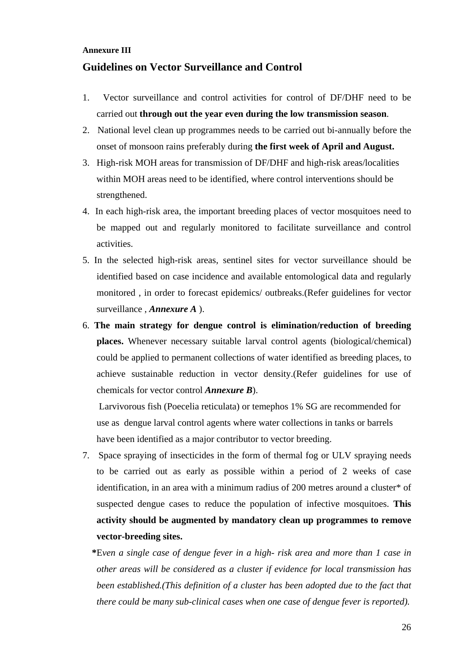#### **Annexure III**

#### **Guidelines on Vector Surveillance and Control**

- 1. Vector surveillance and control activities for control of DF/DHF need to be carried out **through out the year even during the low transmission season**.
- 2. National level clean up programmes needs to be carried out bi-annually before the onset of monsoon rains preferably during **the first week of April and August.**
- 3. High-risk MOH areas for transmission of DF/DHF and high-risk areas/localities within MOH areas need to be identified, where control interventions should be strengthened.
- 4. In each high-risk area, the important breeding places of vector mosquitoes need to be mapped out and regularly monitored to facilitate surveillance and control activities.
- 5. In the selected high-risk areas, sentinel sites for vector surveillance should be identified based on case incidence and available entomological data and regularly monitored , in order to forecast epidemics/ outbreaks.(Refer guidelines for vector surveillance , *Annexure A* ).
- 6. **The main strategy for dengue control is elimination/reduction of breeding places.** Whenever necessary suitable larval control agents (biological/chemical) could be applied to permanent collections of water identified as breeding places, to achieve sustainable reduction in vector density.(Refer guidelines for use of chemicals for vector control *Annexure B*).

 Larvivorous fish (Poecelia reticulata) or temephos 1% SG are recommended for use as dengue larval control agents where water collections in tanks or barrels have been identified as a major contributor to vector breeding.

- 7. Space spraying of insecticides in the form of thermal fog or ULV spraying needs to be carried out as early as possible within a period of 2 weeks of case identification, in an area with a minimum radius of 200 metres around a cluster\* of suspected dengue cases to reduce the population of infective mosquitoes. **This activity should be augmented by mandatory clean up programmes to remove vector-breeding sites.** 
	- **\***E*ven a single case of dengue fever in a high- risk area and more than 1 case in other areas will be considered as a cluster if evidence for local transmission has been established.(This definition of a cluster has been adopted due to the fact that there could be many sub-clinical cases when one case of dengue fever is reported).*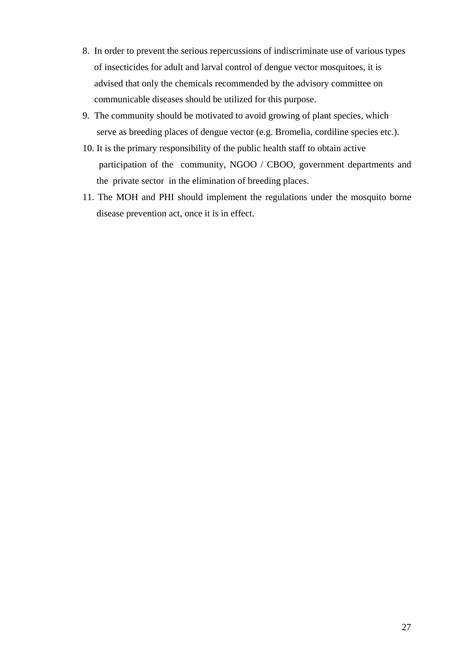- 8. In order to prevent the serious repercussions of indiscriminate use of various types of insecticides for adult and larval control of dengue vector mosquitoes, it is advised that only the chemicals recommended by the advisory committee on communicable diseases should be utilized for this purpose.
- 9. The community should be motivated to avoid growing of plant species, which serve as breeding places of dengue vector (e.g. Bromelia, cordiline species etc.).
- 10. It is the primary responsibility of the public health staff to obtain active participation of the community, NGOO / CBOO, government departments and the private sector in the elimination of breeding places.
- 11. The MOH and PHI should implement the regulations under the mosquito borne disease prevention act, once it is in effect.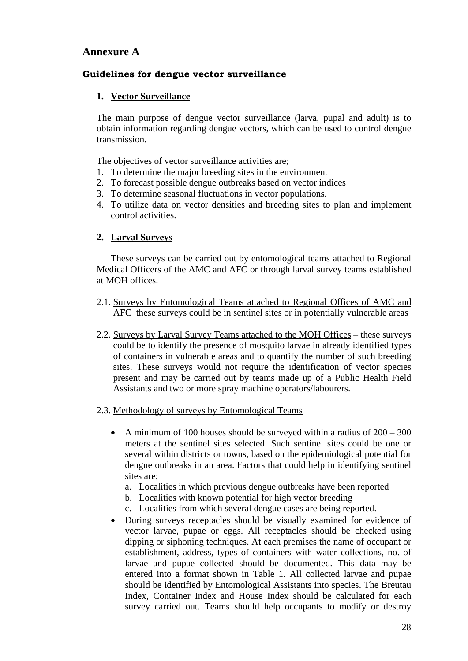### **Annexure A**

#### **Guidelines for dengue vector surveillance**

#### **1. Vector Surveillance**

The main purpose of dengue vector surveillance (larva, pupal and adult) is to obtain information regarding dengue vectors, which can be used to control dengue transmission.

The objectives of vector surveillance activities are;

- 1. To determine the major breeding sites in the environment
- 2. To forecast possible dengue outbreaks based on vector indices
- 3. To determine seasonal fluctuations in vector populations.
- 4. To utilize data on vector densities and breeding sites to plan and implement control activities.

#### **2. Larval Surveys**

These surveys can be carried out by entomological teams attached to Regional Medical Officers of the AMC and AFC or through larval survey teams established at MOH offices.

- 2.1. Surveys by Entomological Teams attached to Regional Offices of AMC and AFC these surveys could be in sentinel sites or in potentially vulnerable areas
- 2.2. Surveys by Larval Survey Teams attached to the MOH Offices these surveys could be to identify the presence of mosquito larvae in already identified types of containers in vulnerable areas and to quantify the number of such breeding sites. These surveys would not require the identification of vector species present and may be carried out by teams made up of a Public Health Field Assistants and two or more spray machine operators/labourers.

#### 2.3. Methodology of surveys by Entomological Teams

- A minimum of 100 houses should be surveyed within a radius of  $200 300$ meters at the sentinel sites selected. Such sentinel sites could be one or several within districts or towns, based on the epidemiological potential for dengue outbreaks in an area. Factors that could help in identifying sentinel sites are;
	- a. Localities in which previous dengue outbreaks have been reported
	- b. Localities with known potential for high vector breeding
	- c. Localities from which several dengue cases are being reported.
- During surveys receptacles should be visually examined for evidence of vector larvae, pupae or eggs. All receptacles should be checked using dipping or siphoning techniques. At each premises the name of occupant or establishment, address, types of containers with water collections, no. of larvae and pupae collected should be documented. This data may be entered into a format shown in Table 1. All collected larvae and pupae should be identified by Entomological Assistants into species. The Breutau Index, Container Index and House Index should be calculated for each survey carried out. Teams should help occupants to modify or destroy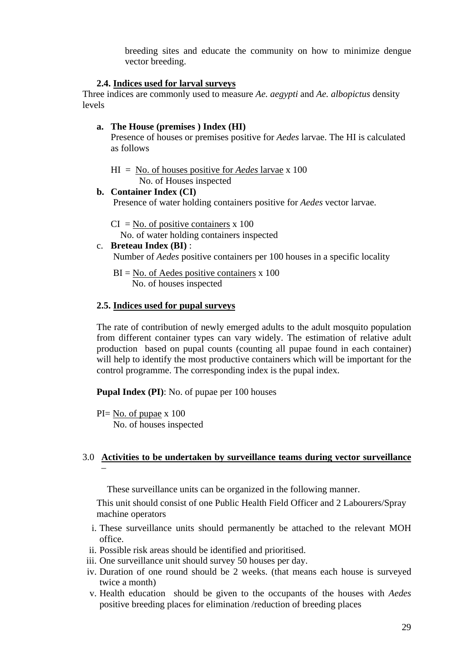breeding sites and educate the community on how to minimize dengue vector breeding.

#### **2.4. Indices used for larval surveys**

Three indices are commonly used to measure *Ae. aegypti* and *Ae. albopictus* density levels

#### **a. The House (premises ) Index (HI)**

Presence of houses or premises positive for *Aedes* larvae. The HI is calculated as follows

HI = No. of houses positive for *Aedes* larvae x 100 No. of Houses inspected

#### **b. Container Index (CI)**

Presence of water holding containers positive for *Aedes* vector larvae.

 $CI = No.$  of positive containers x 100 No. of water holding containers inspected

c. **Breteau Index (BI)** : Number of *Aedes* positive containers per 100 houses in a specific locality

 $BI = No$ . of Aedes positive containers x 100 No. of houses inspected

#### **2.5. Indices used for pupal surveys**

The rate of contribution of newly emerged adults to the adult mosquito population from different container types can vary widely. The estimation of relative adult production based on pupal counts (counting all pupae found in each container) will help to identify the most productive containers which will be important for the control programme. The corresponding index is the pupal index.

**Pupal Index (PI)**: No. of pupae per 100 houses

PI= No. of pupae x 100 No. of houses inspected

#### 3.0 **Activities to be undertaken by surveillance teams during vector surveillance** –

These surveillance units can be organized in the following manner.

This unit should consist of one Public Health Field Officer and 2 Labourers/Spray machine operators

- i. These surveillance units should permanently be attached to the relevant MOH office.
- ii. Possible risk areas should be identified and prioritised.
- iii. One surveillance unit should survey 50 houses per day.
- iv. Duration of one round should be 2 weeks. (that means each house is surveyed twice a month)
- v. Health education should be given to the occupants of the houses with *Aedes* positive breeding places for elimination /reduction of breeding places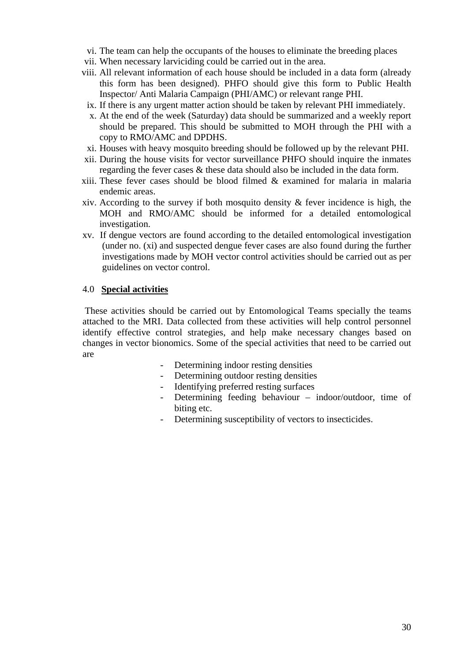- vi. The team can help the occupants of the houses to eliminate the breeding places
- vii. When necessary larviciding could be carried out in the area.
- viii. All relevant information of each house should be included in a data form (already this form has been designed). PHFO should give this form to Public Health Inspector/ Anti Malaria Campaign (PHI/AMC) or relevant range PHI.
- ix. If there is any urgent matter action should be taken by relevant PHI immediately.
- x. At the end of the week (Saturday) data should be summarized and a weekly report should be prepared. This should be submitted to MOH through the PHI with a copy to RMO/AMC and DPDHS.
- xi. Houses with heavy mosquito breeding should be followed up by the relevant PHI.
- xii. During the house visits for vector surveillance PHFO should inquire the inmates regarding the fever cases & these data should also be included in the data form.
- $xiii.$  These fever cases should be blood filmed  $\&$  examined for malaria in malaria endemic areas.
- xiv. According to the survey if both mosquito density  $\&$  fever incidence is high, the MOH and RMO/AMC should be informed for a detailed entomological investigation.
- xv. If dengue vectors are found according to the detailed entomological investigation (under no. (xi) and suspected dengue fever cases are also found during the further investigations made by MOH vector control activities should be carried out as per guidelines on vector control.

#### 4.0 **Special activities**

 These activities should be carried out by Entomological Teams specially the teams attached to the MRI. Data collected from these activities will help control personnel identify effective control strategies, and help make necessary changes based on changes in vector bionomics. Some of the special activities that need to be carried out are

- Determining indoor resting densities
- Determining outdoor resting densities
- Identifying preferred resting surfaces
- Determining feeding behaviour indoor/outdoor, time of biting etc.
- Determining susceptibility of vectors to insecticides.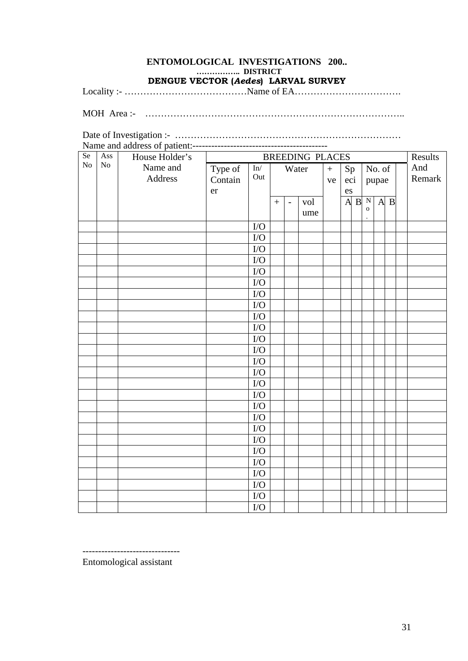## **ENTOMOLOGICAL INVESTIGATIONS 200..…………….. DISTRICT**

**DENGUE VECTOR (***Aedes***) LARVAL SURVEY** 

Locality :- …………………………………Name of EA…………………………….

MOH Area :- ………………………………………………………………………..

Date of Investigation :- ………………………………………………………………

| Se             | Ass | House Holder's |         | <b>BREEDING PLACES</b>     |  |                          |     |           |     |  | Results      |         |  |        |
|----------------|-----|----------------|---------|----------------------------|--|--------------------------|-----|-----------|-----|--|--------------|---------|--|--------|
| N <sub>o</sub> | No  | Name and       | Type of | ${\rm In\hspace{-.07cm}/}$ |  | Water                    |     | $\ddot{}$ | Sp  |  |              | No. of  |  | And    |
|                |     | Address        | Contain | Out                        |  |                          |     | ve        | eci |  |              | pupae   |  | Remark |
|                |     |                | er      |                            |  |                          |     |           | es  |  |              |         |  |        |
|                |     |                |         |                            |  | $\overline{\phantom{a}}$ | vol |           |     |  | A B N        | $A$ $B$ |  |        |
|                |     |                |         |                            |  |                          | ume |           |     |  | $\mathbf{o}$ |         |  |        |
|                |     |                |         | $\rm I/O$                  |  |                          |     |           |     |  |              |         |  |        |
|                |     |                |         | $\rm LO$                   |  |                          |     |           |     |  |              |         |  |        |
|                |     |                |         | ${\rm I/O}$                |  |                          |     |           |     |  |              |         |  |        |
|                |     |                |         | ${\rm I/O}$                |  |                          |     |           |     |  |              |         |  |        |
|                |     |                |         | ${\rm I/O}$                |  |                          |     |           |     |  |              |         |  |        |
|                |     |                |         | ${\rm I/O}$                |  |                          |     |           |     |  |              |         |  |        |
|                |     |                |         | $\rm I/O$                  |  |                          |     |           |     |  |              |         |  |        |
|                |     |                |         | $\rm I/O$                  |  |                          |     |           |     |  |              |         |  |        |
|                |     |                |         | ${\rm I/O}$                |  |                          |     |           |     |  |              |         |  |        |
|                |     |                |         | $\rm LO$                   |  |                          |     |           |     |  |              |         |  |        |
|                |     |                |         | ${\rm I/O}$                |  |                          |     |           |     |  |              |         |  |        |
|                |     |                |         | I/O                        |  |                          |     |           |     |  |              |         |  |        |
|                |     |                |         | ${\rm I/O}$                |  |                          |     |           |     |  |              |         |  |        |
|                |     |                |         | ${\rm I/O}$                |  |                          |     |           |     |  |              |         |  |        |
|                |     |                |         | ${\rm I/O}$                |  |                          |     |           |     |  |              |         |  |        |
|                |     |                |         | ${\rm I/O}$                |  |                          |     |           |     |  |              |         |  |        |
|                |     |                |         | I/O                        |  |                          |     |           |     |  |              |         |  |        |
|                |     |                |         | ${\rm I/O}$                |  |                          |     |           |     |  |              |         |  |        |
|                |     |                |         | ${\rm I/O}$                |  |                          |     |           |     |  |              |         |  |        |
|                |     |                |         | ${\rm I/O}$                |  |                          |     |           |     |  |              |         |  |        |
|                |     |                |         | ${\rm I/O}$                |  |                          |     |           |     |  |              |         |  |        |
|                |     |                |         | ${\rm I/O}$                |  |                          |     |           |     |  |              |         |  |        |
|                |     |                |         | ${\rm I/O}$                |  |                          |     |           |     |  |              |         |  |        |
|                |     |                |         | ${\rm I/O}$                |  |                          |     |           |     |  |              |         |  |        |
|                |     |                |         | ${\rm I/O}$                |  |                          |     |           |     |  |              |         |  |        |
|                |     |                |         | ${\rm I/O}$                |  |                          |     |           |     |  |              |         |  |        |

-------------------------------

Entomological assistant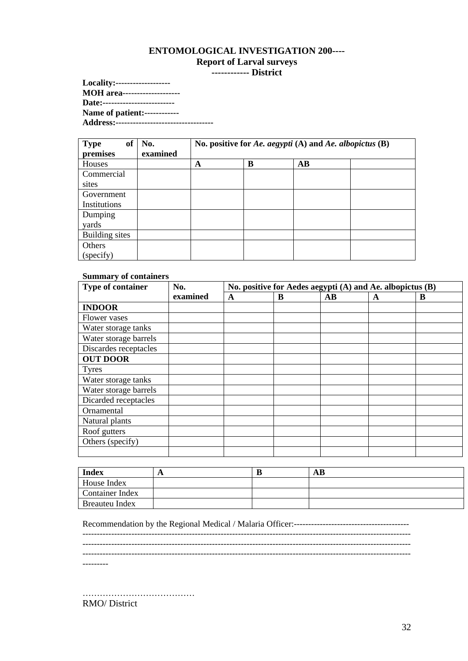# **ENTOMOLOGICAL INVESTIGATION 200---- Report of Larval surveys**

**------------ District** 

**Locality:------------------- MOH area-------------------- Date:------------------------- Name of patient:------------ Address:----------------------------------**

| of<br><b>Type</b> | No.      | No. positive for Ae. aegypti (A) and Ae. albopictus $(B)$ |   |    |  |  |  |
|-------------------|----------|-----------------------------------------------------------|---|----|--|--|--|
| premises          | examined |                                                           |   |    |  |  |  |
| Houses            |          | A                                                         | B | AB |  |  |  |
| Commercial        |          |                                                           |   |    |  |  |  |
| sites             |          |                                                           |   |    |  |  |  |
| Government        |          |                                                           |   |    |  |  |  |
| Institutions      |          |                                                           |   |    |  |  |  |
| Dumping           |          |                                                           |   |    |  |  |  |
| yards             |          |                                                           |   |    |  |  |  |
| Building sites    |          |                                                           |   |    |  |  |  |
| Others            |          |                                                           |   |    |  |  |  |
| (specify)         |          |                                                           |   |    |  |  |  |

#### **Summary of containers**

| Type of container     | No.      | No. positive for Aedes aegypti (A) and Ae. albopictus (B) |   |    |   |   |  |  |
|-----------------------|----------|-----------------------------------------------------------|---|----|---|---|--|--|
|                       | examined | A                                                         | B | AB | A | B |  |  |
| <b>INDOOR</b>         |          |                                                           |   |    |   |   |  |  |
| Flower vases          |          |                                                           |   |    |   |   |  |  |
| Water storage tanks   |          |                                                           |   |    |   |   |  |  |
| Water storage barrels |          |                                                           |   |    |   |   |  |  |
| Discardes receptacles |          |                                                           |   |    |   |   |  |  |
| <b>OUT DOOR</b>       |          |                                                           |   |    |   |   |  |  |
| <b>Tyres</b>          |          |                                                           |   |    |   |   |  |  |
| Water storage tanks   |          |                                                           |   |    |   |   |  |  |
| Water storage barrels |          |                                                           |   |    |   |   |  |  |
| Dicarded receptacles  |          |                                                           |   |    |   |   |  |  |
| Ornamental            |          |                                                           |   |    |   |   |  |  |
| Natural plants        |          |                                                           |   |    |   |   |  |  |
| Roof gutters          |          |                                                           |   |    |   |   |  |  |
| Others (specify)      |          |                                                           |   |    |   |   |  |  |
|                       |          |                                                           |   |    |   |   |  |  |

| <b>Index</b>    | ш | AВ |
|-----------------|---|----|
| House Index     |   |    |
| Container Index |   |    |
| Breauteu Index  |   |    |

Recommendation by the Regional Medical / Malaria Officer:---------------------------------------- ------------------------------------------------------------------------------------------------------------------

 $-$ 

------------------------------------------------------------------------------------------------------------------

---------

………………………………… RMO/ District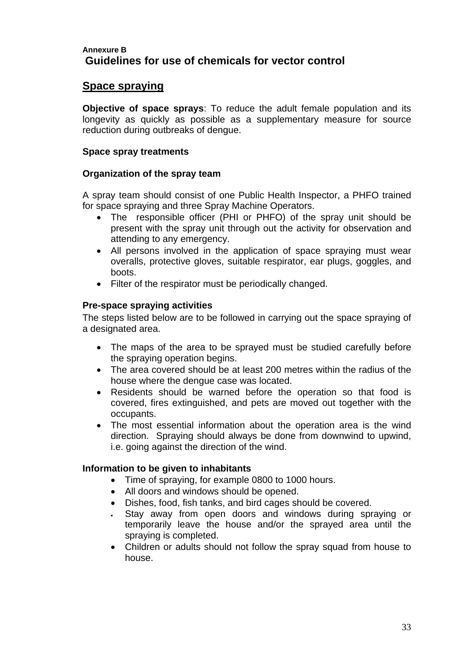### **Annexure B Guidelines for use of chemicals for vector control**

### **Space spraying**

**Objective of space sprays**: To reduce the adult female population and its longevity as quickly as possible as a supplementary measure for source reduction during outbreaks of dengue.

#### **Space spray treatments**

#### **Organization of the spray team**

A spray team should consist of one Public Health Inspector, a PHFO trained for space spraying and three Spray Machine Operators.

- The responsible officer (PHI or PHFO) of the spray unit should be present with the spray unit through out the activity for observation and attending to any emergency.
- All persons involved in the application of space spraying must wear overalls, protective gloves, suitable respirator, ear plugs, goggles, and boots.
- Filter of the respirator must be periodically changed.

#### **Pre-space spraying activities**

The steps listed below are to be followed in carrying out the space spraying of a designated area.

- The maps of the area to be sprayed must be studied carefully before the spraying operation begins.
- The area covered should be at least 200 metres within the radius of the house where the dengue case was located.
- Residents should be warned before the operation so that food is covered, fires extinguished, and pets are moved out together with the occupants.
- The most essential information about the operation area is the wind direction. Spraying should always be done from downwind to upwind, i.e. going against the direction of the wind.

#### **Information to be given to inhabitants**

- Time of spraying, for example 0800 to 1000 hours.
- All doors and windows should be opened.
- Dishes, food, fish tanks, and bird cages should be covered.
- Stay away from open doors and windows during spraying or temporarily leave the house and/or the sprayed area until the spraying is completed.
- Children or adults should not follow the spray squad from house to house.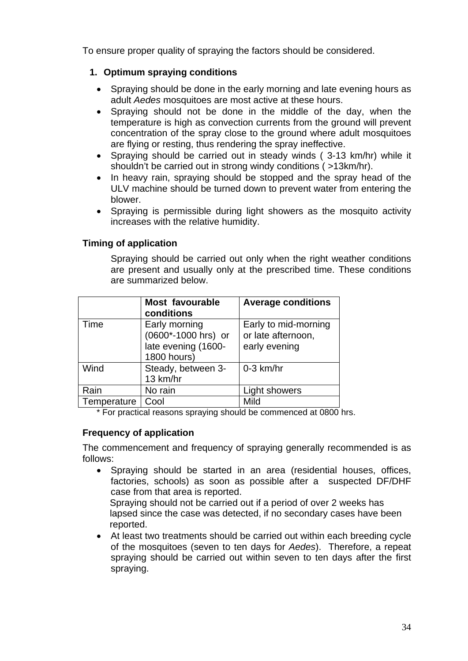To ensure proper quality of spraying the factors should be considered.

### **1. Optimum spraying conditions**

- Spraying should be done in the early morning and late evening hours as adult *Aedes* mosquitoes are most active at these hours.
- Spraying should not be done in the middle of the day, when the temperature is high as convection currents from the ground will prevent concentration of the spray close to the ground where adult mosquitoes are flying or resting, thus rendering the spray ineffective.
- Spraying should be carried out in steady winds ( 3-13 km/hr) while it shouldn't be carried out in strong windy conditions ( >13km/hr).
- In heavy rain, spraying should be stopped and the spray head of the ULV machine should be turned down to prevent water from entering the blower.
- Spraying is permissible during light showers as the mosquito activity increases with the relative humidity.

## **Timing of application**

Spraying should be carried out only when the right weather conditions are present and usually only at the prescribed time. These conditions are summarized below.

|             | <b>Most favourable</b><br>conditions                                       | <b>Average conditions</b>                                   |
|-------------|----------------------------------------------------------------------------|-------------------------------------------------------------|
| Time        | Early morning<br>(0600*-1000 hrs) or<br>late evening (1600-<br>1800 hours) | Early to mid-morning<br>or late afternoon.<br>early evening |
| Wind        | Steady, between 3-<br>13 km/hr                                             | $0-3$ km/hr                                                 |
| Rain        | No rain                                                                    | Light showers                                               |
| Temperature | Cool                                                                       | Mild                                                        |

\* For practical reasons spraying should be commenced at 0800 hrs.

# **Frequency of application**

The commencement and frequency of spraying generally recommended is as follows:

• Spraying should be started in an area (residential houses, offices, factories, schools) as soon as possible after a suspected DF/DHF case from that area is reported.

 Spraying should not be carried out if a period of over 2 weeks has lapsed since the case was detected, if no secondary cases have been reported.

• At least two treatments should be carried out within each breeding cycle of the mosquitoes (seven to ten days for *Aedes*). Therefore, a repeat spraying should be carried out within seven to ten days after the first spraying.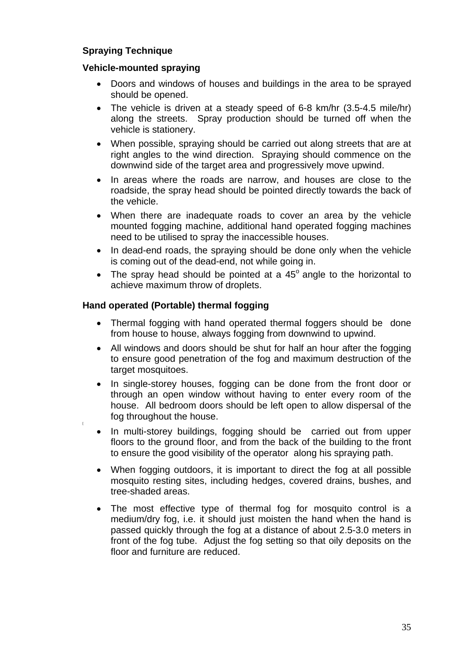## **Spraying Technique**

#### **Vehicle-mounted spraying**

- Doors and windows of houses and buildings in the area to be sprayed should be opened.
- The vehicle is driven at a steady speed of 6-8 km/hr (3.5-4.5 mile/hr) along the streets. Spray production should be turned off when the vehicle is stationery.
- When possible, spraying should be carried out along streets that are at right angles to the wind direction. Spraying should commence on the downwind side of the target area and progressively move upwind.
- In areas where the roads are narrow, and houses are close to the roadside, the spray head should be pointed directly towards the back of the vehicle.
- When there are inadequate roads to cover an area by the vehicle mounted fogging machine, additional hand operated fogging machines need to be utilised to spray the inaccessible houses.
- In dead-end roads, the spraying should be done only when the vehicle is coming out of the dead-end, not while going in.
- The spray head should be pointed at a  $45^\circ$  angle to the horizontal to achieve maximum throw of droplets.

#### **Hand operated (Portable) thermal fogging**

- Thermal fogging with hand operated thermal foggers should be done from house to house, always fogging from downwind to upwind.
- All windows and doors should be shut for half an hour after the fogging to ensure good penetration of the fog and maximum destruction of the target mosquitoes.
- In single-storey houses, fogging can be done from the front door or through an open window without having to enter every room of the house. All bedroom doors should be left open to allow dispersal of the fog throughout the house.
- In multi-storey buildings, fogging should be carried out from upper floors to the ground floor, and from the back of the building to the front to ensure the good visibility of the operator along his spraying path.
- When fogging outdoors, it is important to direct the fog at all possible mosquito resting sites, including hedges, covered drains, bushes, and tree-shaded areas.
- The most effective type of thermal fog for mosquito control is a medium/dry fog, i.e. it should just moisten the hand when the hand is passed quickly through the fog at a distance of about 2.5-3.0 meters in front of the fog tube. Adjust the fog setting so that oily deposits on the floor and furniture are reduced.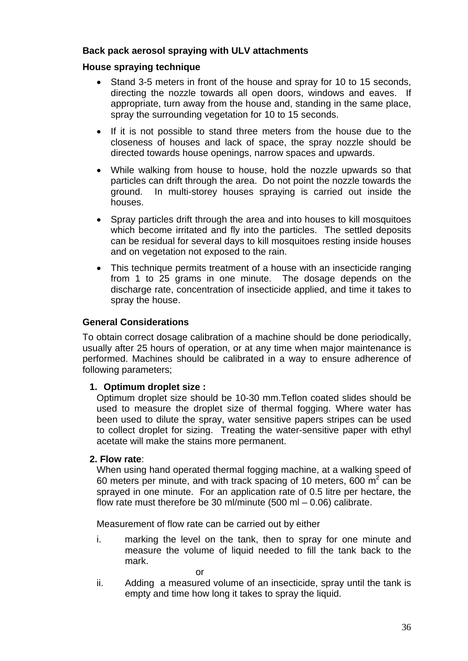#### **Back pack aerosol spraying with ULV attachments**

#### **House spraying technique**

- Stand 3-5 meters in front of the house and spray for 10 to 15 seconds, directing the nozzle towards all open doors, windows and eaves. If appropriate, turn away from the house and, standing in the same place, spray the surrounding vegetation for 10 to 15 seconds.
- If it is not possible to stand three meters from the house due to the closeness of houses and lack of space, the spray nozzle should be directed towards house openings, narrow spaces and upwards.
- While walking from house to house, hold the nozzle upwards so that particles can drift through the area. Do not point the nozzle towards the ground. In multi-storey houses spraying is carried out inside the houses.
- Spray particles drift through the area and into houses to kill mosquitoes which become irritated and fly into the particles. The settled deposits can be residual for several days to kill mosquitoes resting inside houses and on vegetation not exposed to the rain.
- This technique permits treatment of a house with an insecticide ranging from 1 to 25 grams in one minute. The dosage depends on the discharge rate, concentration of insecticide applied, and time it takes to spray the house.

#### **General Considerations**

To obtain correct dosage calibration of a machine should be done periodically, usually after 25 hours of operation, or at any time when major maintenance is performed. Machines should be calibrated in a way to ensure adherence of following parameters;

#### **1. Optimum droplet size :**

Optimum droplet size should be 10-30 mm.Teflon coated slides should be used to measure the droplet size of thermal fogging. Where water has been used to dilute the spray, water sensitive papers stripes can be used to collect droplet for sizing. Treating the water-sensitive paper with ethyl acetate will make the stains more permanent.

#### **2. Flow rate**:

When using hand operated thermal fogging machine, at a walking speed of 60 meters per minute, and with track spacing of 10 meters, 600  $\mathrm{m}^2$  can be sprayed in one minute. For an application rate of 0.5 litre per hectare, the flow rate must therefore be 30 ml/minute (500 ml – 0.06) calibrate.

Measurement of flow rate can be carried out by either

i. marking the level on the tank, then to spray for one minute and measure the volume of liquid needed to fill the tank back to the mark.

or

ii. Adding a measured volume of an insecticide, spray until the tank is empty and time how long it takes to spray the liquid.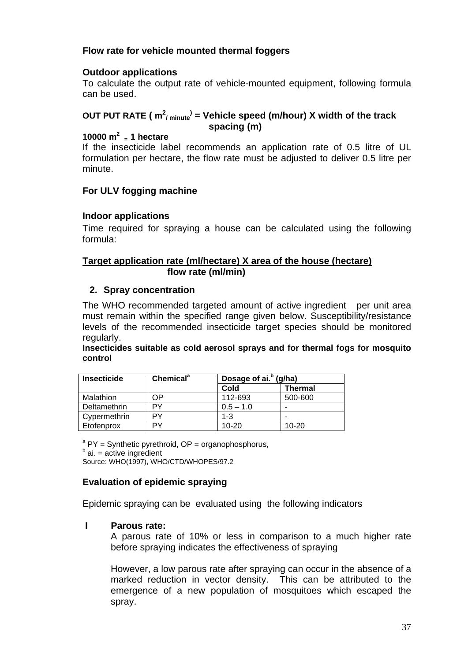### **Flow rate for vehicle mounted thermal foggers**

#### **Outdoor applications**

To calculate the output rate of vehicle-mounted equipment, following formula can be used.

### **OUT PUT RATE ( m2 / minute) = Vehicle speed (m/hour) X width of the track spacing (m)**

# **10000 m2 = 1 hectare**

If the insecticide label recommends an application rate of 0.5 litre of UL formulation per hectare, the flow rate must be adjusted to deliver 0.5 litre per minute.

#### **For ULV fogging machine**

#### **Indoor applications**

Time required for spraying a house can be calculated using the following formula:

#### **Target application rate (ml/hectare) X area of the house (hectare) flow rate (ml/min)**

#### **2. Spray concentration**

The WHO recommended targeted amount of active ingredient per unit area must remain within the specified range given below. Susceptibility/resistance levels of the recommended insecticide target species should be monitored regularly.

**Insecticides suitable as cold aerosol sprays and for thermal fogs for mosquito control** 

| <b>Insecticide</b> | Chemical <sup>a</sup> | Dosage of ai. <sup>b</sup> (g/ha) |                |
|--------------------|-----------------------|-----------------------------------|----------------|
|                    |                       | Cold                              | <b>Thermal</b> |
| Malathion          | ΟP                    | 112-693                           | 500-600        |
| Deltamethrin       | PY                    | $0.5 - 1.0$                       |                |
| Cypermethrin       | PΥ                    | $1 - 3$                           |                |
| Etofenprox         | PΥ                    | $10 - 20$                         | $10 - 20$      |

 $A^a$  PY = Synthetic pyrethroid, OP = organophosphorus,

 $b$  ai. = active ingredient

Source: WHO(1997), WHO/CTD/WHOPES/97.2

### **Evaluation of epidemic spraying**

Epidemic spraying can be evaluated using the following indicators

#### **I Parous rate:**

A parous rate of 10% or less in comparison to a much higher rate before spraying indicates the effectiveness of spraying

However, a low parous rate after spraying can occur in the absence of a marked reduction in vector density. This can be attributed to the emergence of a new population of mosquitoes which escaped the spray.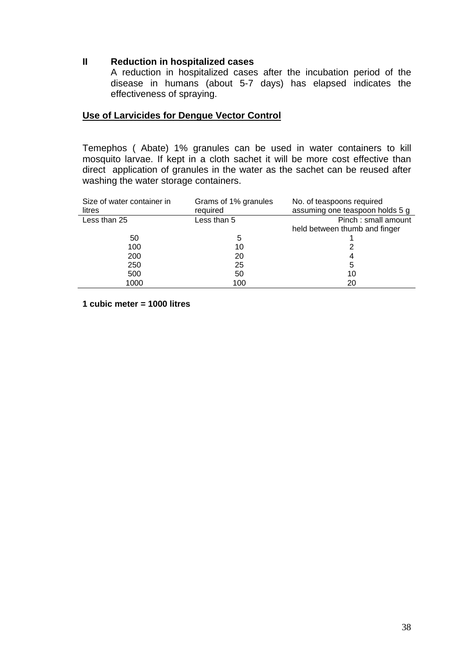#### **II Reduction in hospitalized cases**

A reduction in hospitalized cases after the incubation period of the disease in humans (about 5-7 days) has elapsed indicates the effectiveness of spraying.

#### **Use of Larvicides for Dengue Vector Control**

Temephos ( Abate) 1% granules can be used in water containers to kill mosquito larvae. If kept in a cloth sachet it will be more cost effective than direct application of granules in the water as the sachet can be reused after washing the water storage containers.

| Size of water container in<br>litres | Grams of 1% granules<br>required | No. of teaspoons required<br>assuming one teaspoon holds 5 g |
|--------------------------------------|----------------------------------|--------------------------------------------------------------|
| Less than 25                         | Less than 5                      | Pinch: small amount                                          |
|                                      |                                  | held between thumb and finger                                |
| 50                                   | 5                                |                                                              |
| 100                                  | 10                               |                                                              |
| 200                                  | 20                               | 4                                                            |
| 250                                  | 25                               | 5                                                            |
| 500                                  | 50                               | 10                                                           |
| 1000                                 | 100                              | 20                                                           |

**1 cubic meter = 1000 litres**